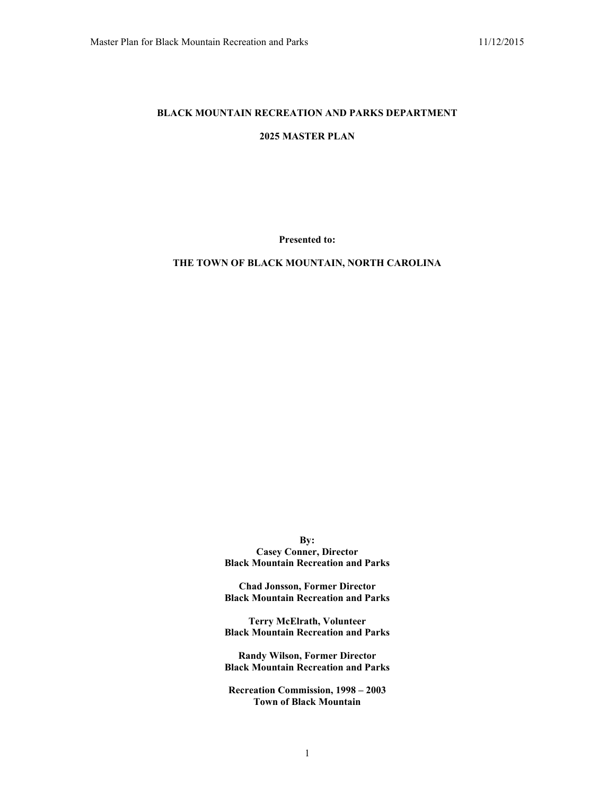## **BLACK MOUNTAIN RECREATION AND PARKS DEPARTMENT**

## **2025 MASTER PLAN**

**Presented to:**

#### **THE TOWN OF BLACK MOUNTAIN, NORTH CAROLINA**

**By: Casey Conner, Director Black Mountain Recreation and Parks**

**Chad Jonsson, Former Director Black Mountain Recreation and Parks**

**Terry McElrath, Volunteer Black Mountain Recreation and Parks**

**Randy Wilson, Former Director Black Mountain Recreation and Parks**

**Recreation Commission, 1998 – 2003 Town of Black Mountain**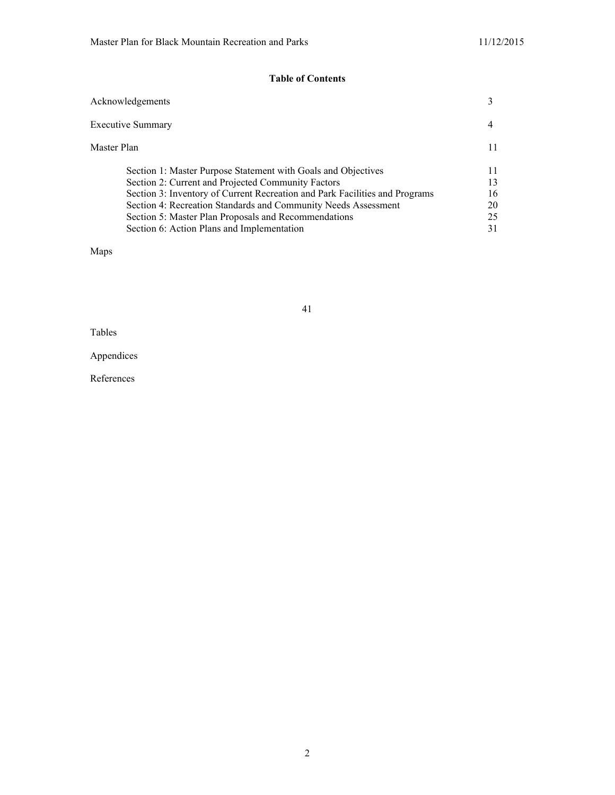# **Table of Contents**

| Acknowledgements                                                            |    |
|-----------------------------------------------------------------------------|----|
| Executive Summary                                                           |    |
| Master Plan                                                                 | 11 |
| Section 1: Master Purpose Statement with Goals and Objectives               | 11 |
| Section 2: Current and Projected Community Factors                          | 13 |
| Section 3: Inventory of Current Recreation and Park Facilities and Programs | 16 |
| Section 4: Recreation Standards and Community Needs Assessment              | 20 |
| Section 5: Master Plan Proposals and Recommendations                        | 25 |
| Section 6: Action Plans and Implementation                                  | 31 |
|                                                                             |    |

Maps

41

Tables

Appendices

References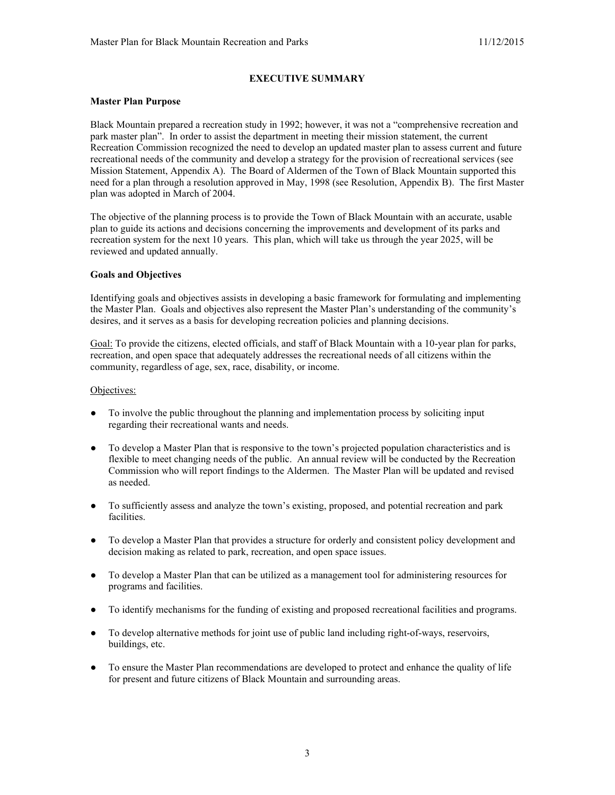## **EXECUTIVE SUMMARY**

#### **Master Plan Purpose**

Black Mountain prepared a recreation study in 1992; however, it was not a "comprehensive recreation and park master plan". In order to assist the department in meeting their mission statement, the current Recreation Commission recognized the need to develop an updated master plan to assess current and future recreational needs of the community and develop a strategy for the provision of recreational services (see Mission Statement, Appendix A). The Board of Aldermen of the Town of Black Mountain supported this need for a plan through a resolution approved in May, 1998 (see Resolution, Appendix B). The first Master plan was adopted in March of 2004.

The objective of the planning process is to provide the Town of Black Mountain with an accurate, usable plan to guide its actions and decisions concerning the improvements and development of its parks and recreation system for the next 10 years. This plan, which will take us through the year 2025, will be reviewed and updated annually.

### **Goals and Objectives**

Identifying goals and objectives assists in developing a basic framework for formulating and implementing the Master Plan. Goals and objectives also represent the Master Plan's understanding of the community's desires, and it serves as a basis for developing recreation policies and planning decisions.

Goal: To provide the citizens, elected officials, and staff of Black Mountain with a 10-year plan for parks, recreation, and open space that adequately addresses the recreational needs of all citizens within the community, regardless of age, sex, race, disability, or income.

### Objectives:

- To involve the public throughout the planning and implementation process by soliciting input regarding their recreational wants and needs.
- To develop a Master Plan that is responsive to the town's projected population characteristics and is flexible to meet changing needs of the public. An annual review will be conducted by the Recreation Commission who will report findings to the Aldermen. The Master Plan will be updated and revised as needed.
- To sufficiently assess and analyze the town's existing, proposed, and potential recreation and park facilities.
- To develop a Master Plan that provides a structure for orderly and consistent policy development and decision making as related to park, recreation, and open space issues.
- To develop a Master Plan that can be utilized as a management tool for administering resources for programs and facilities.
- To identify mechanisms for the funding of existing and proposed recreational facilities and programs.
- To develop alternative methods for joint use of public land including right-of-ways, reservoirs, buildings, etc.
- To ensure the Master Plan recommendations are developed to protect and enhance the quality of life for present and future citizens of Black Mountain and surrounding areas.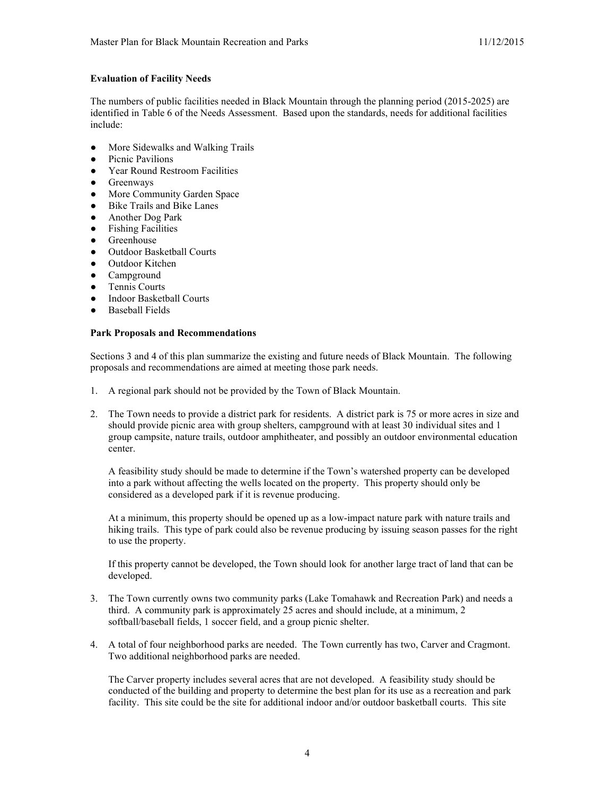## **Evaluation of Facility Needs**

The numbers of public facilities needed in Black Mountain through the planning period (2015-2025) are identified in Table 6 of the Needs Assessment. Based upon the standards, needs for additional facilities include:

- More Sidewalks and Walking Trails
- Picnic Pavilions
- Year Round Restroom Facilities
- Greenways
- More Community Garden Space
- Bike Trails and Bike Lanes
- Another Dog Park
- Fishing Facilities
- **•** Greenhouse
- Outdoor Basketball Courts
- Outdoor Kitchen
- Campground
- Tennis Courts
- Indoor Basketball Courts
- Baseball Fields

#### **Park Proposals and Recommendations**

Sections 3 and 4 of this plan summarize the existing and future needs of Black Mountain. The following proposals and recommendations are aimed at meeting those park needs.

- 1. A regional park should not be provided by the Town of Black Mountain.
- 2. The Town needs to provide a district park for residents. A district park is 75 or more acres in size and should provide picnic area with group shelters, campground with at least 30 individual sites and 1 group campsite, nature trails, outdoor amphitheater, and possibly an outdoor environmental education center.

A feasibility study should be made to determine if the Town's watershed property can be developed into a park without affecting the wells located on the property. This property should only be considered as a developed park if it is revenue producing.

At a minimum, this property should be opened up as a low-impact nature park with nature trails and hiking trails. This type of park could also be revenue producing by issuing season passes for the right to use the property.

If this property cannot be developed, the Town should look for another large tract of land that can be developed.

- 3. The Town currently owns two community parks (Lake Tomahawk and Recreation Park) and needs a third. A community park is approximately 25 acres and should include, at a minimum, 2 softball/baseball fields, 1 soccer field, and a group picnic shelter.
- 4. A total of four neighborhood parks are needed. The Town currently has two, Carver and Cragmont. Two additional neighborhood parks are needed.

The Carver property includes several acres that are not developed. A feasibility study should be conducted of the building and property to determine the best plan for its use as a recreation and park facility. This site could be the site for additional indoor and/or outdoor basketball courts. This site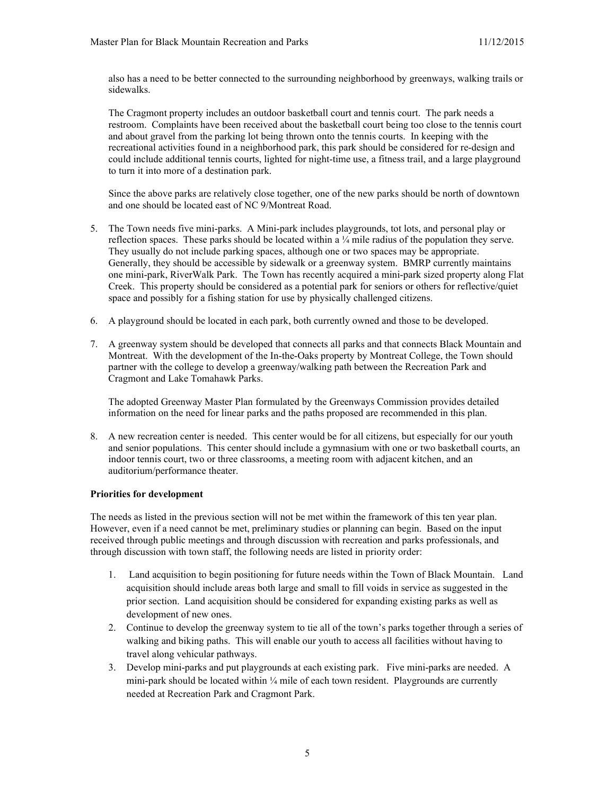also has a need to be better connected to the surrounding neighborhood by greenways, walking trails or sidewalks.

The Cragmont property includes an outdoor basketball court and tennis court. The park needs a restroom. Complaints have been received about the basketball court being too close to the tennis court and about gravel from the parking lot being thrown onto the tennis courts. In keeping with the recreational activities found in a neighborhood park, this park should be considered for re-design and could include additional tennis courts, lighted for night-time use, a fitness trail, and a large playground to turn it into more of a destination park.

Since the above parks are relatively close together, one of the new parks should be north of downtown and one should be located east of NC 9/Montreat Road.

- 5. The Town needs five mini-parks. A Mini-park includes playgrounds, tot lots, and personal play or reflection spaces. These parks should be located within a  $\frac{1}{4}$  mile radius of the population they serve. They usually do not include parking spaces, although one or two spaces may be appropriate. Generally, they should be accessible by sidewalk or a greenway system. BMRP currently maintains one mini-park, RiverWalk Park. The Town has recently acquired a mini-park sized property along Flat Creek. This property should be considered as a potential park for seniors or others for reflective/quiet space and possibly for a fishing station for use by physically challenged citizens.
- 6. A playground should be located in each park, both currently owned and those to be developed.
- 7. A greenway system should be developed that connects all parks and that connects Black Mountain and Montreat. With the development of the In-the-Oaks property by Montreat College, the Town should partner with the college to develop a greenway/walking path between the Recreation Park and Cragmont and Lake Tomahawk Parks.

The adopted Greenway Master Plan formulated by the Greenways Commission provides detailed information on the need for linear parks and the paths proposed are recommended in this plan.

8. A new recreation center is needed. This center would be for all citizens, but especially for our youth and senior populations. This center should include a gymnasium with one or two basketball courts, an indoor tennis court, two or three classrooms, a meeting room with adjacent kitchen, and an auditorium/performance theater.

# **Priorities for development**

The needs as listed in the previous section will not be met within the framework of this ten year plan. However, even if a need cannot be met, preliminary studies or planning can begin. Based on the input received through public meetings and through discussion with recreation and parks professionals, and through discussion with town staff, the following needs are listed in priority order:

- 1. Land acquisition to begin positioning for future needs within the Town of Black Mountain. Land acquisition should include areas both large and small to fill voids in service as suggested in the prior section. Land acquisition should be considered for expanding existing parks as well as development of new ones.
- 2. Continue to develop the greenway system to tie all of the town's parks together through a series of walking and biking paths. This will enable our youth to access all facilities without having to travel along vehicular pathways.
- 3. Develop mini-parks and put playgrounds at each existing park. Five mini-parks are needed. A mini-park should be located within  $\frac{1}{4}$  mile of each town resident. Playgrounds are currently needed at Recreation Park and Cragmont Park.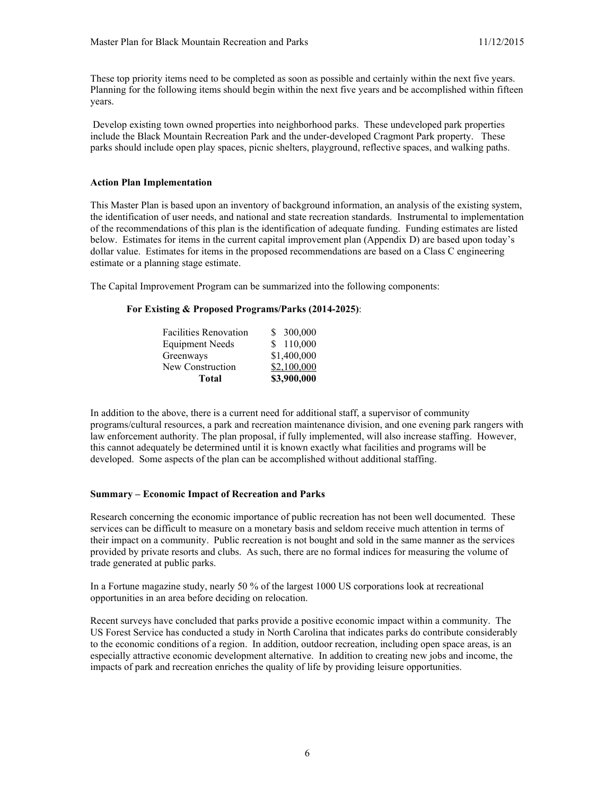These top priority items need to be completed as soon as possible and certainly within the next five years. Planning for the following items should begin within the next five years and be accomplished within fifteen years.

Develop existing town owned properties into neighborhood parks. These undeveloped park properties include the Black Mountain Recreation Park and the under-developed Cragmont Park property. These parks should include open play spaces, picnic shelters, playground, reflective spaces, and walking paths.

#### **Action Plan Implementation**

This Master Plan is based upon an inventory of background information, an analysis of the existing system, the identification of user needs, and national and state recreation standards. Instrumental to implementation of the recommendations of this plan is the identification of adequate funding. Funding estimates are listed below. Estimates for items in the current capital improvement plan (Appendix D) are based upon today's dollar value. Estimates for items in the proposed recommendations are based on a Class C engineering estimate or a planning stage estimate.

The Capital Improvement Program can be summarized into the following components:

## **For Existing & Proposed Programs/Parks (2014-2025)**:

| Total                  | \$3,900,000 |
|------------------------|-------------|
| New Construction       | \$2,100,000 |
| Greenways              | \$1,400,000 |
| <b>Equipment Needs</b> | \$110,000   |
| Facilities Renovation  | \$ 300,000  |
|                        |             |

In addition to the above, there is a current need for additional staff, a supervisor of community programs/cultural resources, a park and recreation maintenance division, and one evening park rangers with law enforcement authority. The plan proposal, if fully implemented, will also increase staffing. However, this cannot adequately be determined until it is known exactly what facilities and programs will be developed. Some aspects of the plan can be accomplished without additional staffing.

## **Summary – Economic Impact of Recreation and Parks**

Research concerning the economic importance of public recreation has not been well documented. These services can be difficult to measure on a monetary basis and seldom receive much attention in terms of their impact on a community. Public recreation is not bought and sold in the same manner as the services provided by private resorts and clubs. As such, there are no formal indices for measuring the volume of trade generated at public parks.

In a Fortune magazine study, nearly 50 % of the largest 1000 US corporations look at recreational opportunities in an area before deciding on relocation.

Recent surveys have concluded that parks provide a positive economic impact within a community. The US Forest Service has conducted a study in North Carolina that indicates parks do contribute considerably to the economic conditions of a region. In addition, outdoor recreation, including open space areas, is an especially attractive economic development alternative. In addition to creating new jobs and income, the impacts of park and recreation enriches the quality of life by providing leisure opportunities.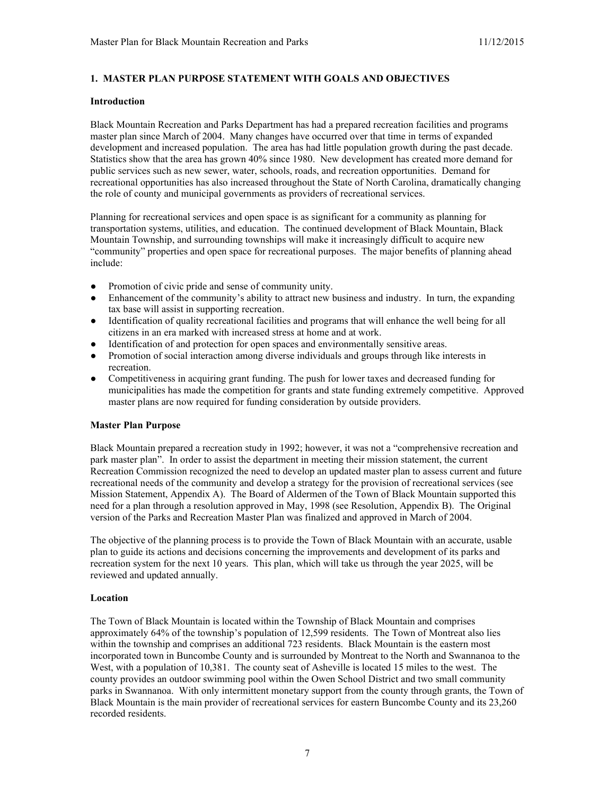# **1. MASTER PLAN PURPOSE STATEMENT WITH GOALS AND OBJECTIVES**

#### **Introduction**

Black Mountain Recreation and Parks Department has had a prepared recreation facilities and programs master plan since March of 2004. Many changes have occurred over that time in terms of expanded development and increased population. The area has had little population growth during the past decade. Statistics show that the area has grown 40% since 1980. New development has created more demand for public services such as new sewer, water, schools, roads, and recreation opportunities. Demand for recreational opportunities has also increased throughout the State of North Carolina, dramatically changing the role of county and municipal governments as providers of recreational services.

Planning for recreational services and open space is as significant for a community as planning for transportation systems, utilities, and education. The continued development of Black Mountain, Black Mountain Township, and surrounding townships will make it increasingly difficult to acquire new "community" properties and open space for recreational purposes. The major benefits of planning ahead include:

- Promotion of civic pride and sense of community unity.
- Enhancement of the community's ability to attract new business and industry. In turn, the expanding tax base will assist in supporting recreation.
- Identification of quality recreational facilities and programs that will enhance the well being for all citizens in an era marked with increased stress at home and at work.
- Identification of and protection for open spaces and environmentally sensitive areas.
- Promotion of social interaction among diverse individuals and groups through like interests in recreation.
- Competitiveness in acquiring grant funding. The push for lower taxes and decreased funding for municipalities has made the competition for grants and state funding extremely competitive. Approved master plans are now required for funding consideration by outside providers.

## **Master Plan Purpose**

Black Mountain prepared a recreation study in 1992; however, it was not a "comprehensive recreation and park master plan". In order to assist the department in meeting their mission statement, the current Recreation Commission recognized the need to develop an updated master plan to assess current and future recreational needs of the community and develop a strategy for the provision of recreational services (see Mission Statement, Appendix A). The Board of Aldermen of the Town of Black Mountain supported this need for a plan through a resolution approved in May, 1998 (see Resolution, Appendix B). The Original version of the Parks and Recreation Master Plan was finalized and approved in March of 2004.

The objective of the planning process is to provide the Town of Black Mountain with an accurate, usable plan to guide its actions and decisions concerning the improvements and development of its parks and recreation system for the next 10 years. This plan, which will take us through the year 2025, will be reviewed and updated annually.

#### **Location**

The Town of Black Mountain is located within the Township of Black Mountain and comprises approximately 64% of the township's population of 12,599 residents. The Town of Montreat also lies within the township and comprises an additional 723 residents. Black Mountain is the eastern most incorporated town in Buncombe County and is surrounded by Montreat to the North and Swannanoa to the West, with a population of 10,381. The county seat of Asheville is located 15 miles to the west. The county provides an outdoor swimming pool within the Owen School District and two small community parks in Swannanoa. With only intermittent monetary support from the county through grants, the Town of Black Mountain is the main provider of recreational services for eastern Buncombe County and its 23,260 recorded residents.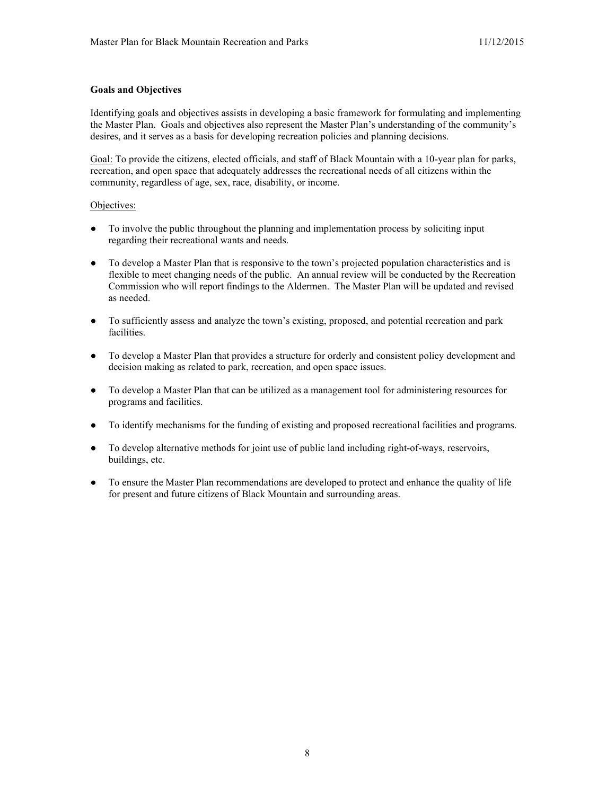## **Goals and Objectives**

Identifying goals and objectives assists in developing a basic framework for formulating and implementing the Master Plan. Goals and objectives also represent the Master Plan's understanding of the community's desires, and it serves as a basis for developing recreation policies and planning decisions.

Goal: To provide the citizens, elected officials, and staff of Black Mountain with a 10-year plan for parks, recreation, and open space that adequately addresses the recreational needs of all citizens within the community, regardless of age, sex, race, disability, or income.

### Objectives:

- To involve the public throughout the planning and implementation process by soliciting input regarding their recreational wants and needs.
- To develop a Master Plan that is responsive to the town's projected population characteristics and is flexible to meet changing needs of the public. An annual review will be conducted by the Recreation Commission who will report findings to the Aldermen. The Master Plan will be updated and revised as needed.
- To sufficiently assess and analyze the town's existing, proposed, and potential recreation and park facilities.
- To develop a Master Plan that provides a structure for orderly and consistent policy development and decision making as related to park, recreation, and open space issues.
- To develop a Master Plan that can be utilized as a management tool for administering resources for programs and facilities.
- To identify mechanisms for the funding of existing and proposed recreational facilities and programs.
- To develop alternative methods for joint use of public land including right-of-ways, reservoirs, buildings, etc.
- To ensure the Master Plan recommendations are developed to protect and enhance the quality of life for present and future citizens of Black Mountain and surrounding areas.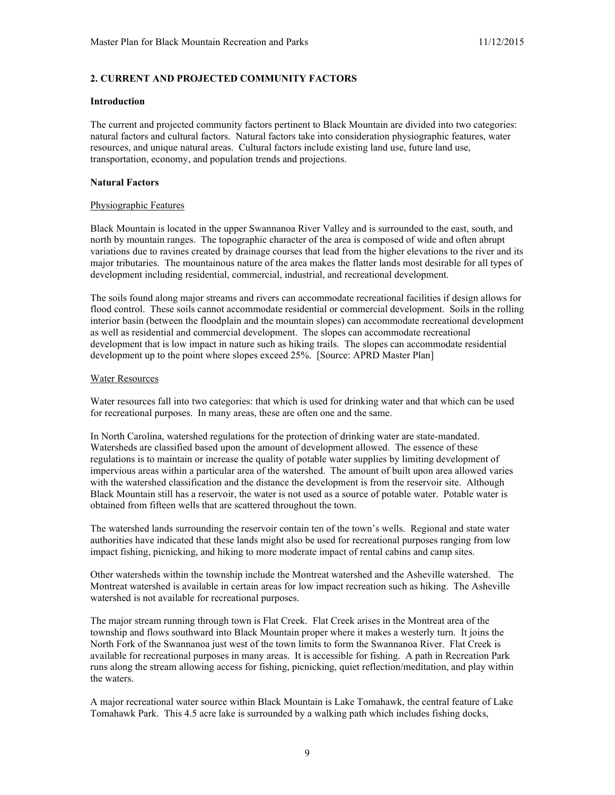# **2. CURRENT AND PROJECTED COMMUNITY FACTORS**

#### **Introduction**

The current and projected community factors pertinent to Black Mountain are divided into two categories: natural factors and cultural factors. Natural factors take into consideration physiographic features, water resources, and unique natural areas. Cultural factors include existing land use, future land use, transportation, economy, and population trends and projections.

## **Natural Factors**

### Physiographic Features

Black Mountain is located in the upper Swannanoa River Valley and is surrounded to the east, south, and north by mountain ranges. The topographic character of the area is composed of wide and often abrupt variations due to ravines created by drainage courses that lead from the higher elevations to the river and its major tributaries. The mountainous nature of the area makes the flatter lands most desirable for all types of development including residential, commercial, industrial, and recreational development.

The soils found along major streams and rivers can accommodate recreational facilities if design allows for flood control. These soils cannot accommodate residential or commercial development. Soils in the rolling interior basin (between the floodplain and the mountain slopes) can accommodate recreational development as well as residential and commercial development. The slopes can accommodate recreational development that is low impact in nature such as hiking trails. The slopes can accommodate residential development up to the point where slopes exceed 25%. [Source: APRD Master Plan]

### Water Resources

Water resources fall into two categories: that which is used for drinking water and that which can be used for recreational purposes. In many areas, these are often one and the same.

In North Carolina, watershed regulations for the protection of drinking water are state-mandated. Watersheds are classified based upon the amount of development allowed. The essence of these regulations is to maintain or increase the quality of potable water supplies by limiting development of impervious areas within a particular area of the watershed. The amount of built upon area allowed varies with the watershed classification and the distance the development is from the reservoir site. Although Black Mountain still has a reservoir, the water is not used as a source of potable water. Potable water is obtained from fifteen wells that are scattered throughout the town.

The watershed lands surrounding the reservoir contain ten of the town's wells. Regional and state water authorities have indicated that these lands might also be used for recreational purposes ranging from low impact fishing, picnicking, and hiking to more moderate impact of rental cabins and camp sites.

Other watersheds within the township include the Montreat watershed and the Asheville watershed. The Montreat watershed is available in certain areas for low impact recreation such as hiking. The Asheville watershed is not available for recreational purposes.

The major stream running through town is Flat Creek. Flat Creek arises in the Montreat area of the township and flows southward into Black Mountain proper where it makes a westerly turn. It joins the North Fork of the Swannanoa just west of the town limits to form the Swannanoa River. Flat Creek is available for recreational purposes in many areas. It is accessible for fishing. A path in Recreation Park runs along the stream allowing access for fishing, picnicking, quiet reflection/meditation, and play within the waters.

A major recreational water source within Black Mountain is Lake Tomahawk, the central feature of Lake Tomahawk Park. This 4.5 acre lake is surrounded by a walking path which includes fishing docks,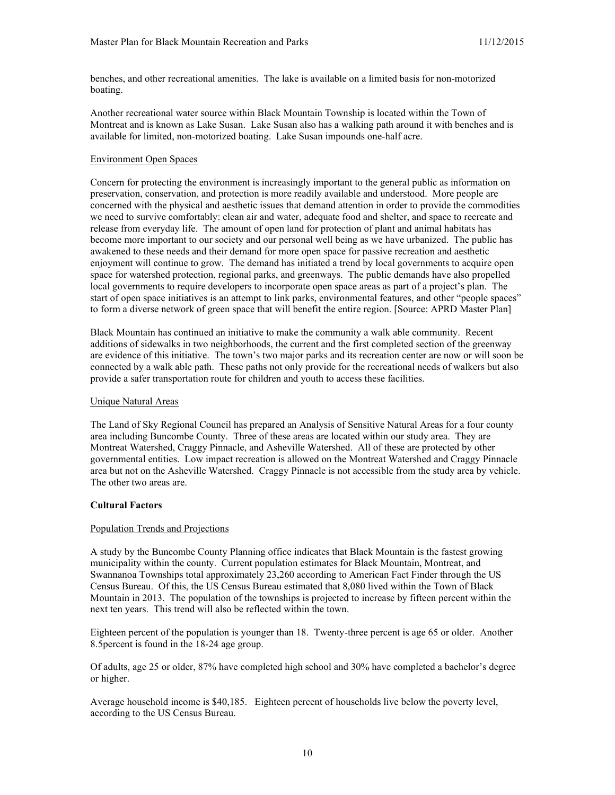benches, and other recreational amenities. The lake is available on a limited basis for non-motorized boating.

Another recreational water source within Black Mountain Township is located within the Town of Montreat and is known as Lake Susan. Lake Susan also has a walking path around it with benches and is available for limited, non-motorized boating. Lake Susan impounds one-half acre.

#### Environment Open Spaces

Concern for protecting the environment is increasingly important to the general public as information on preservation, conservation, and protection is more readily available and understood. More people are concerned with the physical and aesthetic issues that demand attention in order to provide the commodities we need to survive comfortably: clean air and water, adequate food and shelter, and space to recreate and release from everyday life. The amount of open land for protection of plant and animal habitats has become more important to our society and our personal well being as we have urbanized. The public has awakened to these needs and their demand for more open space for passive recreation and aesthetic enjoyment will continue to grow. The demand has initiated a trend by local governments to acquire open space for watershed protection, regional parks, and greenways. The public demands have also propelled local governments to require developers to incorporate open space areas as part of a project's plan. The start of open space initiatives is an attempt to link parks, environmental features, and other "people spaces" to form a diverse network of green space that will benefit the entire region. [Source: APRD Master Plan]

Black Mountain has continued an initiative to make the community a walk able community. Recent additions of sidewalks in two neighborhoods, the current and the first completed section of the greenway are evidence of this initiative. The town's two major parks and its recreation center are now or will soon be connected by a walk able path. These paths not only provide for the recreational needs of walkers but also provide a safer transportation route for children and youth to access these facilities.

## Unique Natural Areas

The Land of Sky Regional Council has prepared an Analysis of Sensitive Natural Areas for a four county area including Buncombe County. Three of these areas are located within our study area. They are Montreat Watershed, Craggy Pinnacle, and Asheville Watershed. All of these are protected by other governmental entities. Low impact recreation is allowed on the Montreat Watershed and Craggy Pinnacle area but not on the Asheville Watershed. Craggy Pinnacle is not accessible from the study area by vehicle. The other two areas are.

## **Cultural Factors**

#### Population Trends and Projections

A study by the Buncombe County Planning office indicates that Black Mountain is the fastest growing municipality within the county. Current population estimates for Black Mountain, Montreat, and Swannanoa Townships total approximately 23,260 according to American Fact Finder through the US Census Bureau. Of this, the US Census Bureau estimated that 8,080 lived within the Town of Black Mountain in 2013. The population of the townships is projected to increase by fifteen percent within the next ten years. This trend will also be reflected within the town.

Eighteen percent of the population is younger than 18. Twenty-three percent is age 65 or older. Another 8.5percent is found in the 18-24 age group.

Of adults, age 25 or older, 87% have completed high school and 30% have completed a bachelor's degree or higher.

Average household income is \$40,185. Eighteen percent of households live below the poverty level, according to the US Census Bureau.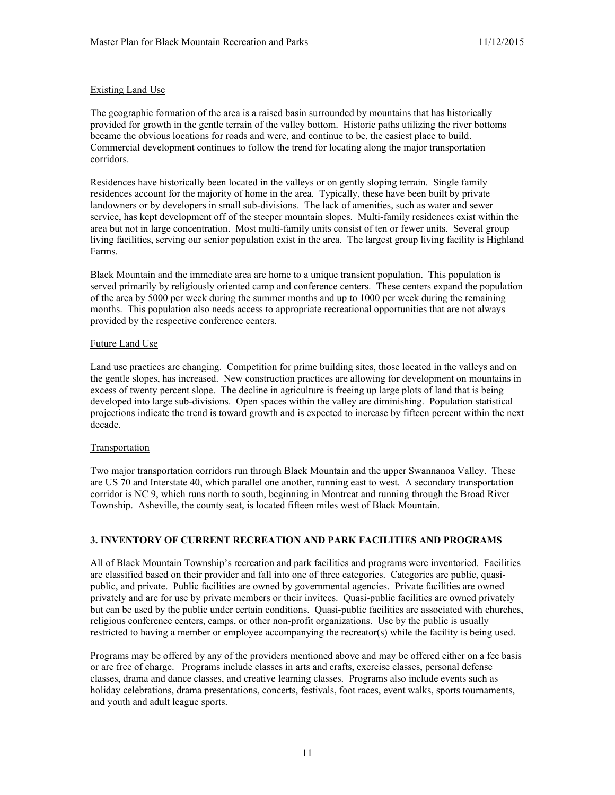## Existing Land Use

The geographic formation of the area is a raised basin surrounded by mountains that has historically provided for growth in the gentle terrain of the valley bottom. Historic paths utilizing the river bottoms became the obvious locations for roads and were, and continue to be, the easiest place to build. Commercial development continues to follow the trend for locating along the major transportation corridors.

Residences have historically been located in the valleys or on gently sloping terrain. Single family residences account for the majority of home in the area. Typically, these have been built by private landowners or by developers in small sub-divisions. The lack of amenities, such as water and sewer service, has kept development off of the steeper mountain slopes. Multi-family residences exist within the area but not in large concentration. Most multi-family units consist of ten or fewer units. Several group living facilities, serving our senior population exist in the area. The largest group living facility is Highland Farms.

Black Mountain and the immediate area are home to a unique transient population. This population is served primarily by religiously oriented camp and conference centers. These centers expand the population of the area by 5000 per week during the summer months and up to 1000 per week during the remaining months. This population also needs access to appropriate recreational opportunities that are not always provided by the respective conference centers.

### Future Land Use

Land use practices are changing. Competition for prime building sites, those located in the valleys and on the gentle slopes, has increased. New construction practices are allowing for development on mountains in excess of twenty percent slope. The decline in agriculture is freeing up large plots of land that is being developed into large sub-divisions. Open spaces within the valley are diminishing. Population statistical projections indicate the trend is toward growth and is expected to increase by fifteen percent within the next decade.

#### Transportation

Two major transportation corridors run through Black Mountain and the upper Swannanoa Valley. These are US 70 and Interstate 40, which parallel one another, running east to west. A secondary transportation corridor is NC 9, which runs north to south, beginning in Montreat and running through the Broad River Township. Asheville, the county seat, is located fifteen miles west of Black Mountain.

## **3. INVENTORY OF CURRENT RECREATION AND PARK FACILITIES AND PROGRAMS**

All of Black Mountain Township's recreation and park facilities and programs were inventoried. Facilities are classified based on their provider and fall into one of three categories. Categories are public, quasipublic, and private. Public facilities are owned by governmental agencies. Private facilities are owned privately and are for use by private members or their invitees. Quasi-public facilities are owned privately but can be used by the public under certain conditions. Quasi-public facilities are associated with churches, religious conference centers, camps, or other non-profit organizations. Use by the public is usually restricted to having a member or employee accompanying the recreator(s) while the facility is being used.

Programs may be offered by any of the providers mentioned above and may be offered either on a fee basis or are free of charge. Programs include classes in arts and crafts, exercise classes, personal defense classes, drama and dance classes, and creative learning classes. Programs also include events such as holiday celebrations, drama presentations, concerts, festivals, foot races, event walks, sports tournaments, and youth and adult league sports.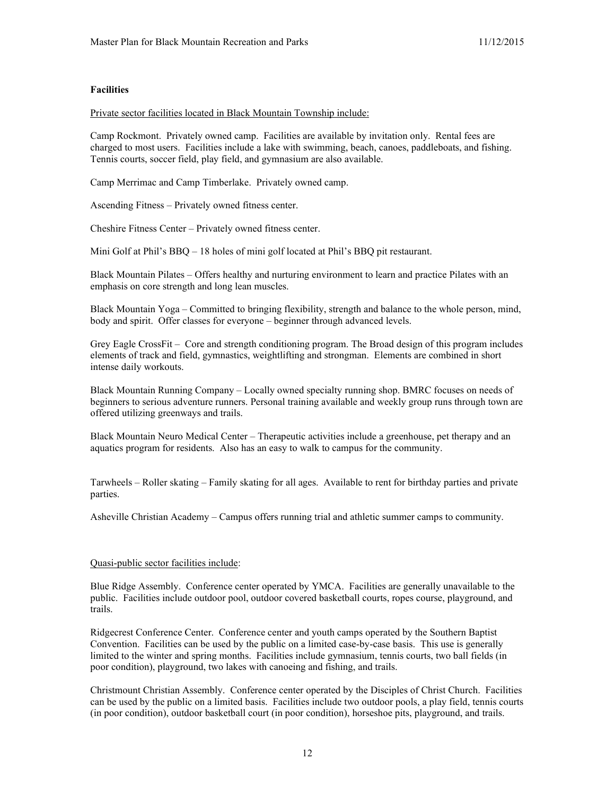### **Facilities**

Private sector facilities located in Black Mountain Township include:

Camp Rockmont. Privately owned camp. Facilities are available by invitation only. Rental fees are charged to most users. Facilities include a lake with swimming, beach, canoes, paddleboats, and fishing. Tennis courts, soccer field, play field, and gymnasium are also available.

Camp Merrimac and Camp Timberlake. Privately owned camp.

Ascending Fitness – Privately owned fitness center.

Cheshire Fitness Center – Privately owned fitness center.

Mini Golf at Phil's BBQ – 18 holes of mini golf located at Phil's BBQ pit restaurant.

Black Mountain Pilates – Offers healthy and nurturing environment to learn and practice Pilates with an emphasis on core strength and long lean muscles.

Black Mountain Yoga – Committed to bringing flexibility, strength and balance to the whole person, mind, body and spirit. Offer classes for everyone – beginner through advanced levels.

Grey Eagle CrossFit – Core and strength conditioning program. The Broad design of this program includes elements of track and field, gymnastics, weightlifting and strongman. Elements are combined in short intense daily workouts.

Black Mountain Running Company – Locally owned specialty running shop. BMRC focuses on needs of beginners to serious adventure runners. Personal training available and weekly group runs through town are offered utilizing greenways and trails.

Black Mountain Neuro Medical Center – Therapeutic activities include a greenhouse, pet therapy and an aquatics program for residents. Also has an easy to walk to campus for the community.

Tarwheels – Roller skating – Family skating for all ages. Available to rent for birthday parties and private parties.

Asheville Christian Academy – Campus offers running trial and athletic summer camps to community.

#### Quasi-public sector facilities include:

Blue Ridge Assembly. Conference center operated by YMCA. Facilities are generally unavailable to the public. Facilities include outdoor pool, outdoor covered basketball courts, ropes course, playground, and trails.

Ridgecrest Conference Center. Conference center and youth camps operated by the Southern Baptist Convention. Facilities can be used by the public on a limited case-by-case basis. This use is generally limited to the winter and spring months. Facilities include gymnasium, tennis courts, two ball fields (in poor condition), playground, two lakes with canoeing and fishing, and trails.

Christmount Christian Assembly. Conference center operated by the Disciples of Christ Church. Facilities can be used by the public on a limited basis. Facilities include two outdoor pools, a play field, tennis courts (in poor condition), outdoor basketball court (in poor condition), horseshoe pits, playground, and trails.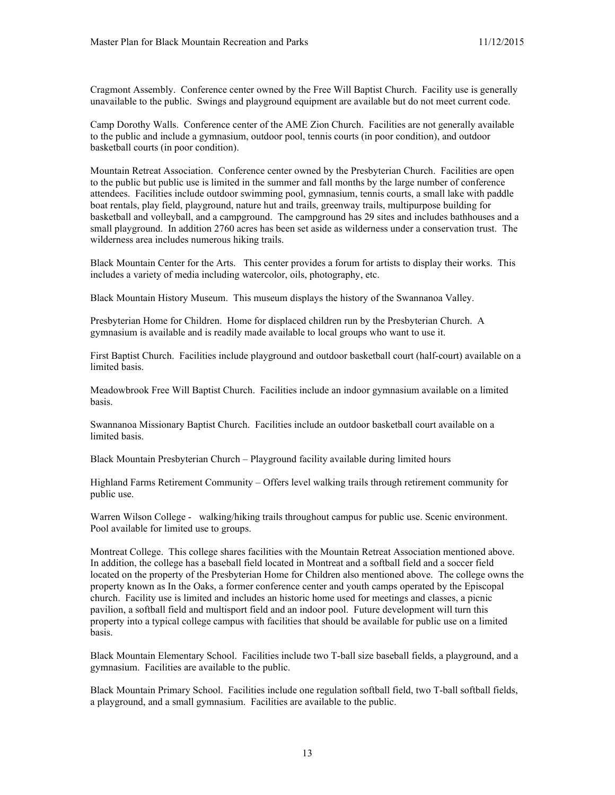Cragmont Assembly. Conference center owned by the Free Will Baptist Church. Facility use is generally unavailable to the public. Swings and playground equipment are available but do not meet current code.

Camp Dorothy Walls. Conference center of the AME Zion Church. Facilities are not generally available to the public and include a gymnasium, outdoor pool, tennis courts (in poor condition), and outdoor basketball courts (in poor condition).

Mountain Retreat Association. Conference center owned by the Presbyterian Church. Facilities are open to the public but public use is limited in the summer and fall months by the large number of conference attendees. Facilities include outdoor swimming pool, gymnasium, tennis courts, a small lake with paddle boat rentals, play field, playground, nature hut and trails, greenway trails, multipurpose building for basketball and volleyball, and a campground. The campground has 29 sites and includes bathhouses and a small playground. In addition 2760 acres has been set aside as wilderness under a conservation trust. The wilderness area includes numerous hiking trails.

Black Mountain Center for the Arts. This center provides a forum for artists to display their works. This includes a variety of media including watercolor, oils, photography, etc.

Black Mountain History Museum. This museum displays the history of the Swannanoa Valley.

Presbyterian Home for Children. Home for displaced children run by the Presbyterian Church. A gymnasium is available and is readily made available to local groups who want to use it.

First Baptist Church. Facilities include playground and outdoor basketball court (half-court) available on a limited basis.

Meadowbrook Free Will Baptist Church. Facilities include an indoor gymnasium available on a limited basis.

Swannanoa Missionary Baptist Church. Facilities include an outdoor basketball court available on a limited basis.

Black Mountain Presbyterian Church – Playground facility available during limited hours

Highland Farms Retirement Community – Offers level walking trails through retirement community for public use.

Warren Wilson College - walking/hiking trails throughout campus for public use. Scenic environment. Pool available for limited use to groups.

Montreat College. This college shares facilities with the Mountain Retreat Association mentioned above. In addition, the college has a baseball field located in Montreat and a softball field and a soccer field located on the property of the Presbyterian Home for Children also mentioned above. The college owns the property known as In the Oaks, a former conference center and youth camps operated by the Episcopal church. Facility use is limited and includes an historic home used for meetings and classes, a picnic pavilion, a softball field and multisport field and an indoor pool. Future development will turn this property into a typical college campus with facilities that should be available for public use on a limited basis.

Black Mountain Elementary School. Facilities include two T-ball size baseball fields, a playground, and a gymnasium. Facilities are available to the public.

Black Mountain Primary School. Facilities include one regulation softball field, two T-ball softball fields, a playground, and a small gymnasium. Facilities are available to the public.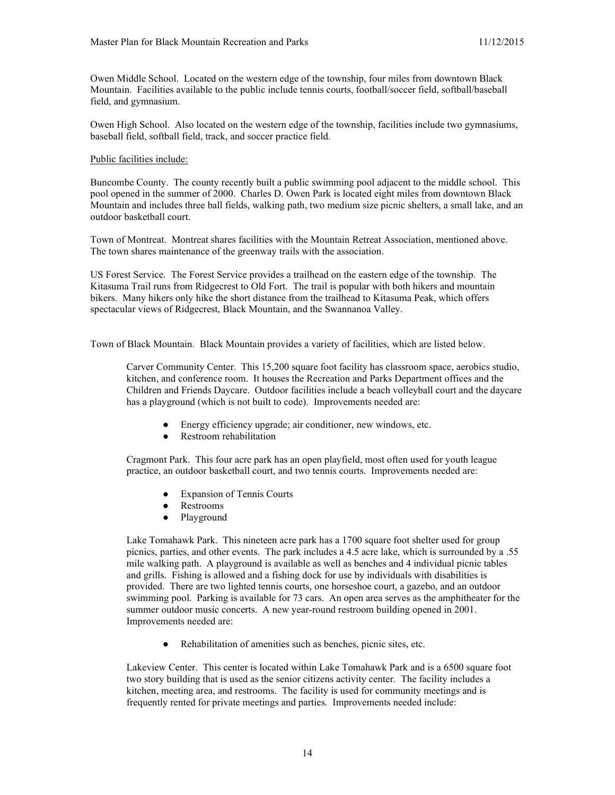Owen Middle School. Located on the western edge of the township, four miles from downtown Black Mountain. Facilities available to the public include tennis courts, football/soccer field, softball/baseball field, and gymnasium.

Owen High School. Also located on the western edge of the township, facilities include two gymnasiums, baseball field, softball field, track, and soccer practice field.

#### Public facilities include:

Buncombe County. The county recently built a public swimming pool adjacent to the middle school. This pool opened in the summer of 2000. Charles D. Owen Park is located eight miles from downtown Black Mountain and includes three ball fields, walking path, two medium size picnic shelters, a small lake, and an outdoor basketball court.

Town of Montreat. Montreat shares facilities with the Mountain Retreat Association, mentioned above. The town shares maintenance of the greenway trails with the association.

US Forest Service. The Forest Service provides a trailhead on the eastern edge of the township. The Kitasuma Trail runs from Ridgecrest to Old Fort. The trail is popular with both hikers and mountain bikers. Many hikers only hike the short distance from the trailhead to Kitasuma Peak, which offers spectacular views of Ridgecrest, Black Mountain, and the Swannanoa Valley.

Town of Black Mountain. Black Mountain provides a variety of facilities, which are listed below.

Carver Community Center. This 15,200 square foot facility has classroom space, aerobics studio, kitchen, and conference room. It houses the Recreation and Parks Department offices and the Children and Friends Daycare. Outdoor facilities include a beach volleyball court and the daycare has a playground (which is not built to code). Improvements needed are:

- Energy efficiency upgrade; air conditioner, new windows, etc.
- Restroom rehabilitation

Cragmont Park. This four acre park has an open playfield, most often used for youth league practice, an outdoor basketball court, and two tennis courts. Improvements needed are:

- Expansion of Tennis Courts
- Restrooms
- Playground

Lake Tomahawk Park. This nineteen acre park has a 1700 square foot shelter used for group picnics, parties, and other events. The park includes a 4.5 acre lake, which is surrounded by a .55 mile walking path. A playground is available as well as benches and 4 individual picnic tables and grills. Fishing is allowed and a fishing dock for use by individuals with disabilities is provided. There are two lighted tennis courts, one horseshoe court, a gazebo, and an outdoor swimming pool. Parking is available for 73 cars. An open area serves as the amphitheater for the summer outdoor music concerts. A new year-round restroom building opened in 2001. Improvements needed are:

● Rehabilitation of amenities such as benches, picnic sites, etc.

Lakeview Center. This center is located within Lake Tomahawk Park and is a 6500 square foot two story building that is used as the senior citizens activity center. The facility includes a kitchen, meeting area, and restrooms. The facility is used for community meetings and is frequently rented for private meetings and parties. Improvements needed include: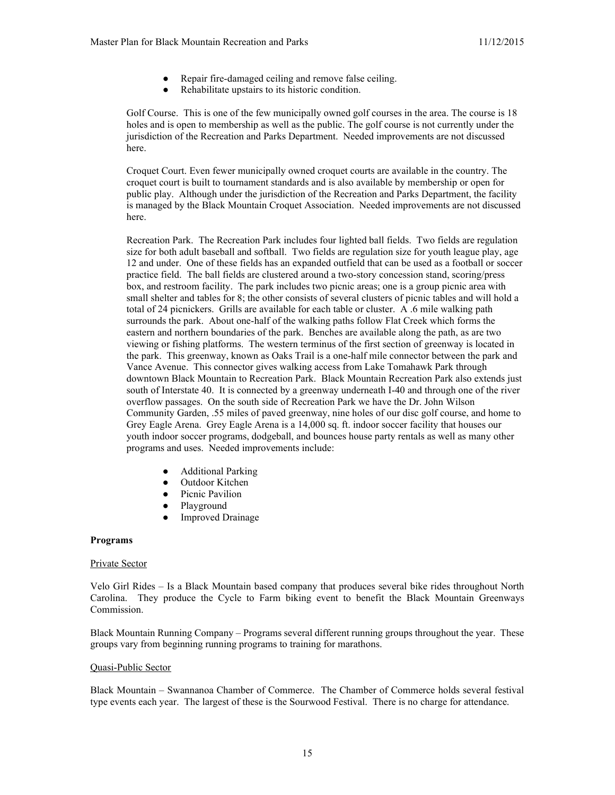- Repair fire-damaged ceiling and remove false ceiling.
- Rehabilitate upstairs to its historic condition.

Golf Course. This is one of the few municipally owned golf courses in the area. The course is 18 holes and is open to membership as well as the public. The golf course is not currently under the jurisdiction of the Recreation and Parks Department. Needed improvements are not discussed here.

Croquet Court. Even fewer municipally owned croquet courts are available in the country. The croquet court is built to tournament standards and is also available by membership or open for public play. Although under the jurisdiction of the Recreation and Parks Department, the facility is managed by the Black Mountain Croquet Association. Needed improvements are not discussed here.

Recreation Park. The Recreation Park includes four lighted ball fields. Two fields are regulation size for both adult baseball and softball. Two fields are regulation size for youth league play, age 12 and under. One of these fields has an expanded outfield that can be used as a football or soccer practice field. The ball fields are clustered around a two-story concession stand, scoring/press box, and restroom facility. The park includes two picnic areas; one is a group picnic area with small shelter and tables for 8; the other consists of several clusters of picnic tables and will hold a total of 24 picnickers. Grills are available for each table or cluster. A .6 mile walking path surrounds the park. About one-half of the walking paths follow Flat Creek which forms the eastern and northern boundaries of the park. Benches are available along the path, as are two viewing or fishing platforms. The western terminus of the first section of greenway is located in the park. This greenway, known as Oaks Trail is a one-half mile connector between the park and Vance Avenue. This connector gives walking access from Lake Tomahawk Park through downtown Black Mountain to Recreation Park. Black Mountain Recreation Park also extends just south of Interstate 40. It is connected by a greenway underneath I-40 and through one of the river overflow passages. On the south side of Recreation Park we have the Dr. John Wilson Community Garden, .55 miles of paved greenway, nine holes of our disc golf course, and home to Grey Eagle Arena. Grey Eagle Arena is a 14,000 sq. ft. indoor soccer facility that houses our youth indoor soccer programs, dodgeball, and bounces house party rentals as well as many other programs and uses. Needed improvements include:

- **Additional Parking**
- Outdoor Kitchen
- Picnic Pavilion
- Playground
- **Improved Drainage**

#### **Programs**

#### Private Sector

Velo Girl Rides – Is a Black Mountain based company that produces several bike rides throughout North Carolina. They produce the Cycle to Farm biking event to benefit the Black Mountain Greenways Commission.

Black Mountain Running Company – Programs several different running groups throughout the year. These groups vary from beginning running programs to training for marathons.

#### Quasi-Public Sector

Black Mountain – Swannanoa Chamber of Commerce. The Chamber of Commerce holds several festival type events each year. The largest of these is the Sourwood Festival. There is no charge for attendance.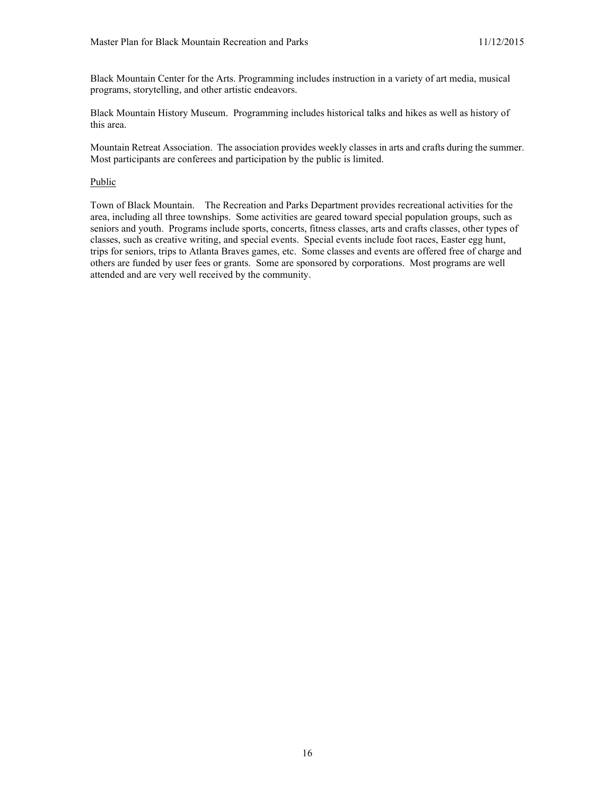Black Mountain Center for the Arts. Programming includes instruction in a variety of art media, musical programs, storytelling, and other artistic endeavors.

Black Mountain History Museum. Programming includes historical talks and hikes as well as history of this area.

Mountain Retreat Association. The association provides weekly classes in arts and crafts during the summer. Most participants are conferees and participation by the public is limited.

#### Public

Town of Black Mountain. The Recreation and Parks Department provides recreational activities for the area, including all three townships. Some activities are geared toward special population groups, such as seniors and youth. Programs include sports, concerts, fitness classes, arts and crafts classes, other types of classes, such as creative writing, and special events. Special events include foot races, Easter egg hunt, trips for seniors, trips to Atlanta Braves games, etc. Some classes and events are offered free of charge and others are funded by user fees or grants. Some are sponsored by corporations. Most programs are well attended and are very well received by the community.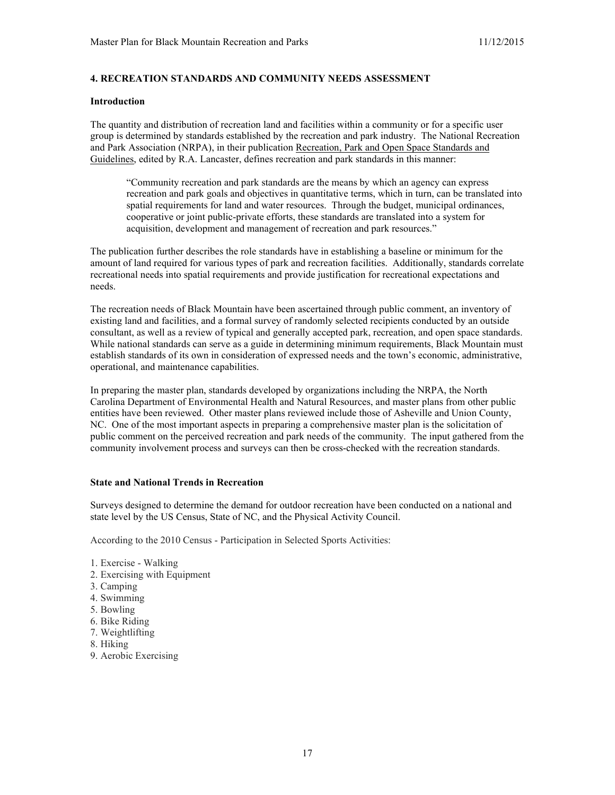## **4. RECREATION STANDARDS AND COMMUNITY NEEDS ASSESSMENT**

#### **Introduction**

The quantity and distribution of recreation land and facilities within a community or for a specific user group is determined by standards established by the recreation and park industry. The National Recreation and Park Association (NRPA), in their publication Recreation, Park and Open Space Standards and Guidelines, edited by R.A. Lancaster, defines recreation and park standards in this manner:

"Community recreation and park standards are the means by which an agency can express recreation and park goals and objectives in quantitative terms, which in turn, can be translated into spatial requirements for land and water resources. Through the budget, municipal ordinances, cooperative or joint public-private efforts, these standards are translated into a system for acquisition, development and management of recreation and park resources."

The publication further describes the role standards have in establishing a baseline or minimum for the amount of land required for various types of park and recreation facilities. Additionally, standards correlate recreational needs into spatial requirements and provide justification for recreational expectations and needs.

The recreation needs of Black Mountain have been ascertained through public comment, an inventory of existing land and facilities, and a formal survey of randomly selected recipients conducted by an outside consultant, as well as a review of typical and generally accepted park, recreation, and open space standards. While national standards can serve as a guide in determining minimum requirements, Black Mountain must establish standards of its own in consideration of expressed needs and the town's economic, administrative, operational, and maintenance capabilities.

In preparing the master plan, standards developed by organizations including the NRPA, the North Carolina Department of Environmental Health and Natural Resources, and master plans from other public entities have been reviewed. Other master plans reviewed include those of Asheville and Union County, NC. One of the most important aspects in preparing a comprehensive master plan is the solicitation of public comment on the perceived recreation and park needs of the community. The input gathered from the community involvement process and surveys can then be cross-checked with the recreation standards.

#### **State and National Trends in Recreation**

Surveys designed to determine the demand for outdoor recreation have been conducted on a national and state level by the US Census, State of NC, and the Physical Activity Council.

According to the 2010 Census - Participation in Selected Sports Activities:

- 1. Exercise Walking
- 2. Exercising with Equipment
- 3. Camping
- 4. Swimming
- 5. Bowling
- 6. Bike Riding
- 7. Weightlifting
- 8. Hiking
- 9. Aerobic Exercising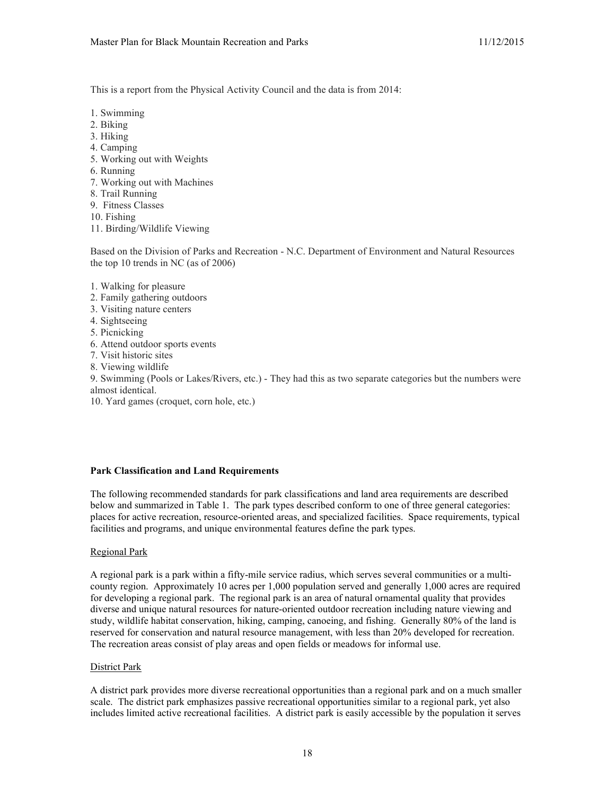This is a report from the Physical Activity Council and the data is from 2014:

- 1. Swimming
- 2. Biking
- 3. Hiking
- 4. Camping
- 5. Working out with Weights
- 6. Running
- 7. Working out with Machines
- 8. Trail Running
- 9. Fitness Classes
- 10. Fishing
- 11. Birding/Wildlife Viewing

Based on the Division of Parks and Recreation - N.C. Department of Environment and Natural Resources the top 10 trends in NC (as of 2006)

- 1. Walking for pleasure
- 2. Family gathering outdoors
- 3. Visiting nature centers
- 4. Sightseeing
- 5. Picnicking
- 6. Attend outdoor sports events
- 7. Visit historic sites
- 8. Viewing wildlife

9. Swimming (Pools or Lakes/Rivers, etc.) - They had this as two separate categories but the numbers were almost identical.

10. Yard games (croquet, corn hole, etc.)

## **Park Classification and Land Requirements**

The following recommended standards for park classifications and land area requirements are described below and summarized in Table 1. The park types described conform to one of three general categories: places for active recreation, resource-oriented areas, and specialized facilities. Space requirements, typical facilities and programs, and unique environmental features define the park types.

## Regional Park

A regional park is a park within a fifty-mile service radius, which serves several communities or a multicounty region. Approximately 10 acres per 1,000 population served and generally 1,000 acres are required for developing a regional park. The regional park is an area of natural ornamental quality that provides diverse and unique natural resources for nature-oriented outdoor recreation including nature viewing and study, wildlife habitat conservation, hiking, camping, canoeing, and fishing. Generally 80% of the land is reserved for conservation and natural resource management, with less than 20% developed for recreation. The recreation areas consist of play areas and open fields or meadows for informal use.

#### District Park

A district park provides more diverse recreational opportunities than a regional park and on a much smaller scale. The district park emphasizes passive recreational opportunities similar to a regional park, yet also includes limited active recreational facilities. A district park is easily accessible by the population it serves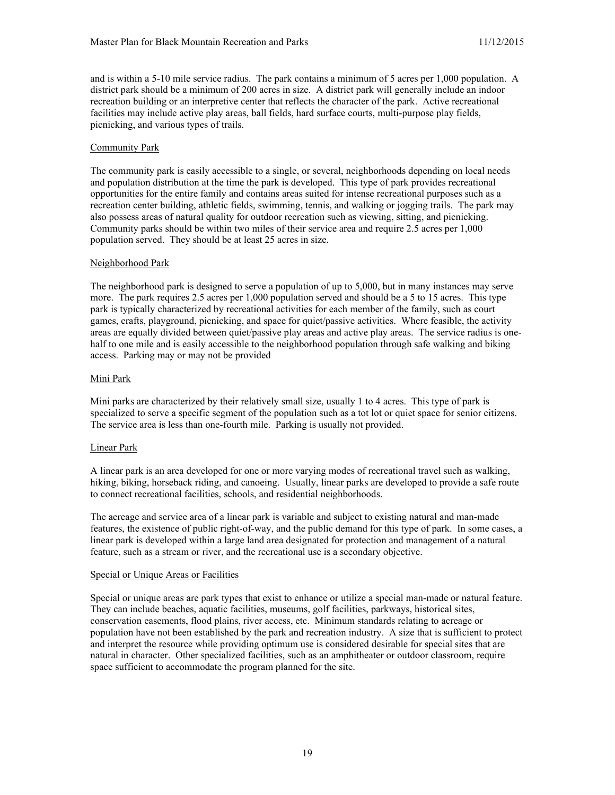and is within a 5-10 mile service radius. The park contains a minimum of 5 acres per 1,000 population. A district park should be a minimum of 200 acres in size. A district park will generally include an indoor recreation building or an interpretive center that reflects the character of the park. Active recreational facilities may include active play areas, ball fields, hard surface courts, multi-purpose play fields, picnicking, and various types of trails.

## Community Park

The community park is easily accessible to a single, or several, neighborhoods depending on local needs and population distribution at the time the park is developed. This type of park provides recreational opportunities for the entire family and contains areas suited for intense recreational purposes such as a recreation center building, athletic fields, swimming, tennis, and walking or jogging trails. The park may also possess areas of natural quality for outdoor recreation such as viewing, sitting, and picnicking. Community parks should be within two miles of their service area and require 2.5 acres per 1,000 population served. They should be at least 25 acres in size.

### Neighborhood Park

The neighborhood park is designed to serve a population of up to 5,000, but in many instances may serve more. The park requires 2.5 acres per 1,000 population served and should be a 5 to 15 acres. This type park is typically characterized by recreational activities for each member of the family, such as court games, crafts, playground, picnicking, and space for quiet/passive activities. Where feasible, the activity areas are equally divided between quiet/passive play areas and active play areas. The service radius is onehalf to one mile and is easily accessible to the neighborhood population through safe walking and biking access. Parking may or may not be provided

### Mini Park

Mini parks are characterized by their relatively small size, usually 1 to 4 acres. This type of park is specialized to serve a specific segment of the population such as a tot lot or quiet space for senior citizens. The service area is less than one-fourth mile. Parking is usually not provided.

#### Linear Park

A linear park is an area developed for one or more varying modes of recreational travel such as walking, hiking, biking, horseback riding, and canoeing. Usually, linear parks are developed to provide a safe route to connect recreational facilities, schools, and residential neighborhoods.

The acreage and service area of a linear park is variable and subject to existing natural and man-made features, the existence of public right-of-way, and the public demand for this type of park. In some cases, a linear park is developed within a large land area designated for protection and management of a natural feature, such as a stream or river, and the recreational use is a secondary objective.

#### Special or Unique Areas or Facilities

Special or unique areas are park types that exist to enhance or utilize a special man-made or natural feature. They can include beaches, aquatic facilities, museums, golf facilities, parkways, historical sites, conservation easements, flood plains, river access, etc. Minimum standards relating to acreage or population have not been established by the park and recreation industry. A size that is sufficient to protect and interpret the resource while providing optimum use is considered desirable for special sites that are natural in character. Other specialized facilities, such as an amphitheater or outdoor classroom, require space sufficient to accommodate the program planned for the site.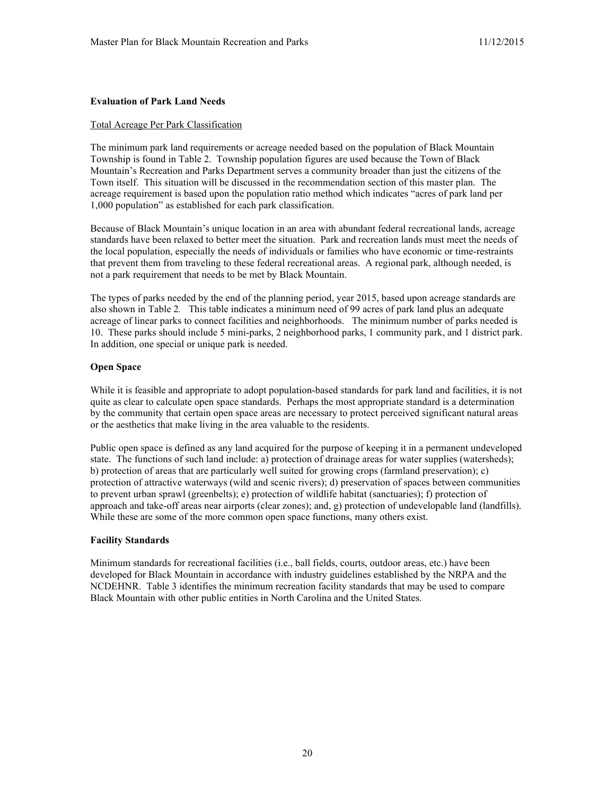#### **Evaluation of Park Land Needs**

#### Total Acreage Per Park Classification

The minimum park land requirements or acreage needed based on the population of Black Mountain Township is found in Table 2. Township population figures are used because the Town of Black Mountain's Recreation and Parks Department serves a community broader than just the citizens of the Town itself. This situation will be discussed in the recommendation section of this master plan. The acreage requirement is based upon the population ratio method which indicates "acres of park land per 1,000 population" as established for each park classification.

Because of Black Mountain's unique location in an area with abundant federal recreational lands, acreage standards have been relaxed to better meet the situation. Park and recreation lands must meet the needs of the local population, especially the needs of individuals or families who have economic or time-restraints that prevent them from traveling to these federal recreational areas. A regional park, although needed, is not a park requirement that needs to be met by Black Mountain.

The types of parks needed by the end of the planning period, year 2015, based upon acreage standards are also shown in Table 2*.* This table indicates a minimum need of 99 acres of park land plus an adequate acreage of linear parks to connect facilities and neighborhoods. The minimum number of parks needed is 10. These parks should include 5 mini-parks, 2 neighborhood parks, 1 community park, and 1 district park. In addition, one special or unique park is needed.

### **Open Space**

While it is feasible and appropriate to adopt population-based standards for park land and facilities, it is not quite as clear to calculate open space standards. Perhaps the most appropriate standard is a determination by the community that certain open space areas are necessary to protect perceived significant natural areas or the aesthetics that make living in the area valuable to the residents.

Public open space is defined as any land acquired for the purpose of keeping it in a permanent undeveloped state. The functions of such land include: a) protection of drainage areas for water supplies (watersheds); b) protection of areas that are particularly well suited for growing crops (farmland preservation); c) protection of attractive waterways (wild and scenic rivers); d) preservation of spaces between communities to prevent urban sprawl (greenbelts); e) protection of wildlife habitat (sanctuaries); f) protection of approach and take-off areas near airports (clear zones); and, g) protection of undevelopable land (landfills). While these are some of the more common open space functions, many others exist.

#### **Facility Standards**

Minimum standards for recreational facilities (i.e., ball fields, courts, outdoor areas, etc.) have been developed for Black Mountain in accordance with industry guidelines established by the NRPA and the NCDEHNR. Table 3 identifies the minimum recreation facility standards that may be used to compare Black Mountain with other public entities in North Carolina and the United States.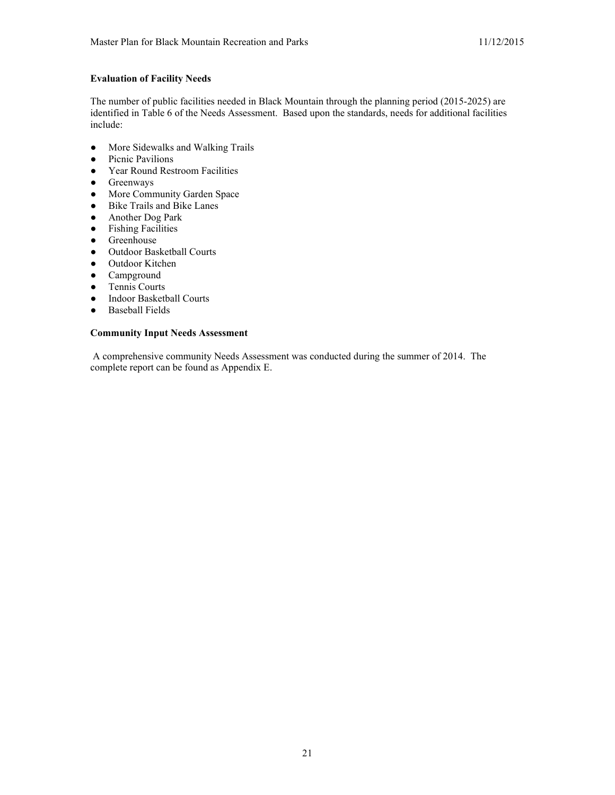## **Evaluation of Facility Needs**

The number of public facilities needed in Black Mountain through the planning period (2015-2025) are identified in Table 6 of the Needs Assessment. Based upon the standards, needs for additional facilities include:

- More Sidewalks and Walking Trails
- Picnic Pavilions<br>• Year Round Res
- Year Round Restroom Facilities
- Greenways
- More Community Garden Space
- Bike Trails and Bike Lanes
- Another Dog Park
- Fishing Facilities
- Greenhouse
- Outdoor Basketball Courts
- Outdoor Kitchen
- Campground<br>• Tennis Courts
- Tennis Courts
- Indoor Basketball Courts
- Baseball Fields

## **Community Input Needs Assessment**

A comprehensive community Needs Assessment was conducted during the summer of 2014. The complete report can be found as Appendix E.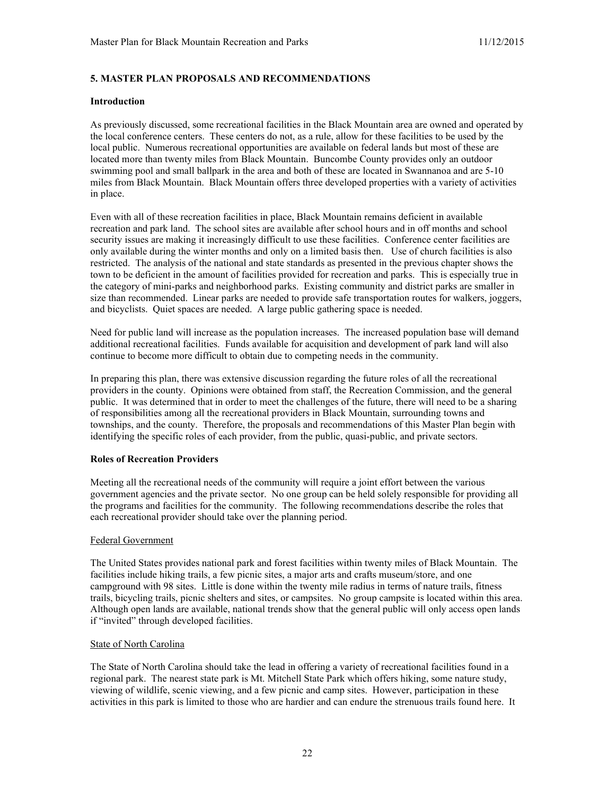## **5. MASTER PLAN PROPOSALS AND RECOMMENDATIONS**

#### **Introduction**

As previously discussed, some recreational facilities in the Black Mountain area are owned and operated by the local conference centers. These centers do not, as a rule, allow for these facilities to be used by the local public. Numerous recreational opportunities are available on federal lands but most of these are located more than twenty miles from Black Mountain. Buncombe County provides only an outdoor swimming pool and small ballpark in the area and both of these are located in Swannanoa and are 5-10 miles from Black Mountain. Black Mountain offers three developed properties with a variety of activities in place.

Even with all of these recreation facilities in place, Black Mountain remains deficient in available recreation and park land. The school sites are available after school hours and in off months and school security issues are making it increasingly difficult to use these facilities. Conference center facilities are only available during the winter months and only on a limited basis then. Use of church facilities is also restricted. The analysis of the national and state standards as presented in the previous chapter shows the town to be deficient in the amount of facilities provided for recreation and parks. This is especially true in the category of mini-parks and neighborhood parks. Existing community and district parks are smaller in size than recommended. Linear parks are needed to provide safe transportation routes for walkers, joggers, and bicyclists. Quiet spaces are needed. A large public gathering space is needed.

Need for public land will increase as the population increases. The increased population base will demand additional recreational facilities. Funds available for acquisition and development of park land will also continue to become more difficult to obtain due to competing needs in the community.

In preparing this plan, there was extensive discussion regarding the future roles of all the recreational providers in the county. Opinions were obtained from staff, the Recreation Commission, and the general public. It was determined that in order to meet the challenges of the future, there will need to be a sharing of responsibilities among all the recreational providers in Black Mountain, surrounding towns and townships, and the county. Therefore, the proposals and recommendations of this Master Plan begin with identifying the specific roles of each provider, from the public, quasi-public, and private sectors.

## **Roles of Recreation Providers**

Meeting all the recreational needs of the community will require a joint effort between the various government agencies and the private sector. No one group can be held solely responsible for providing all the programs and facilities for the community. The following recommendations describe the roles that each recreational provider should take over the planning period.

#### Federal Government

The United States provides national park and forest facilities within twenty miles of Black Mountain. The facilities include hiking trails, a few picnic sites, a major arts and crafts museum/store, and one campground with 98 sites. Little is done within the twenty mile radius in terms of nature trails, fitness trails, bicycling trails, picnic shelters and sites, or campsites. No group campsite is located within this area. Although open lands are available, national trends show that the general public will only access open lands if "invited" through developed facilities.

#### **State of North Carolina**

The State of North Carolina should take the lead in offering a variety of recreational facilities found in a regional park. The nearest state park is Mt. Mitchell State Park which offers hiking, some nature study, viewing of wildlife, scenic viewing, and a few picnic and camp sites. However, participation in these activities in this park is limited to those who are hardier and can endure the strenuous trails found here. It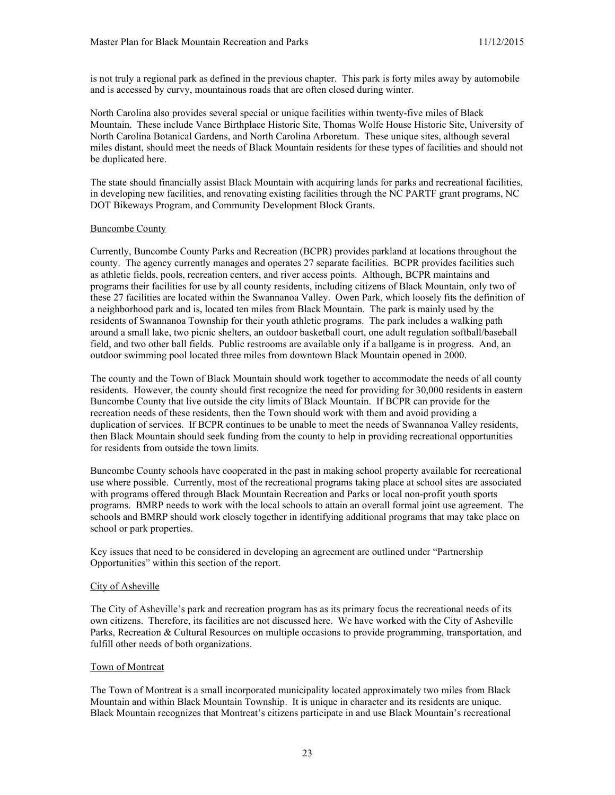is not truly a regional park as defined in the previous chapter. This park is forty miles away by automobile and is accessed by curvy, mountainous roads that are often closed during winter.

North Carolina also provides several special or unique facilities within twenty-five miles of Black Mountain. These include Vance Birthplace Historic Site, Thomas Wolfe House Historic Site, University of North Carolina Botanical Gardens, and North Carolina Arboretum. These unique sites, although several miles distant, should meet the needs of Black Mountain residents for these types of facilities and should not be duplicated here.

The state should financially assist Black Mountain with acquiring lands for parks and recreational facilities, in developing new facilities, and renovating existing facilities through the NC PARTF grant programs, NC DOT Bikeways Program, and Community Development Block Grants.

### Buncombe County

Currently, Buncombe County Parks and Recreation (BCPR) provides parkland at locations throughout the county. The agency currently manages and operates 27 separate facilities. BCPR provides facilities such as athletic fields, pools, recreation centers, and river access points. Although, BCPR maintains and programs their facilities for use by all county residents, including citizens of Black Mountain, only two of these 27 facilities are located within the Swannanoa Valley. Owen Park, which loosely fits the definition of a neighborhood park and is, located ten miles from Black Mountain. The park is mainly used by the residents of Swannanoa Township for their youth athletic programs. The park includes a walking path around a small lake, two picnic shelters, an outdoor basketball court, one adult regulation softball/baseball field, and two other ball fields. Public restrooms are available only if a ballgame is in progress. And, an outdoor swimming pool located three miles from downtown Black Mountain opened in 2000.

The county and the Town of Black Mountain should work together to accommodate the needs of all county residents. However, the county should first recognize the need for providing for 30,000 residents in eastern Buncombe County that live outside the city limits of Black Mountain. If BCPR can provide for the recreation needs of these residents, then the Town should work with them and avoid providing a duplication of services. If BCPR continues to be unable to meet the needs of Swannanoa Valley residents, then Black Mountain should seek funding from the county to help in providing recreational opportunities for residents from outside the town limits.

Buncombe County schools have cooperated in the past in making school property available for recreational use where possible. Currently, most of the recreational programs taking place at school sites are associated with programs offered through Black Mountain Recreation and Parks or local non-profit youth sports programs. BMRP needs to work with the local schools to attain an overall formal joint use agreement. The schools and BMRP should work closely together in identifying additional programs that may take place on school or park properties.

Key issues that need to be considered in developing an agreement are outlined under "Partnership Opportunities" within this section of the report.

#### City of Asheville

The City of Asheville's park and recreation program has as its primary focus the recreational needs of its own citizens. Therefore, its facilities are not discussed here. We have worked with the City of Asheville Parks, Recreation & Cultural Resources on multiple occasions to provide programming, transportation, and fulfill other needs of both organizations.

#### Town of Montreat

The Town of Montreat is a small incorporated municipality located approximately two miles from Black Mountain and within Black Mountain Township. It is unique in character and its residents are unique. Black Mountain recognizes that Montreat's citizens participate in and use Black Mountain's recreational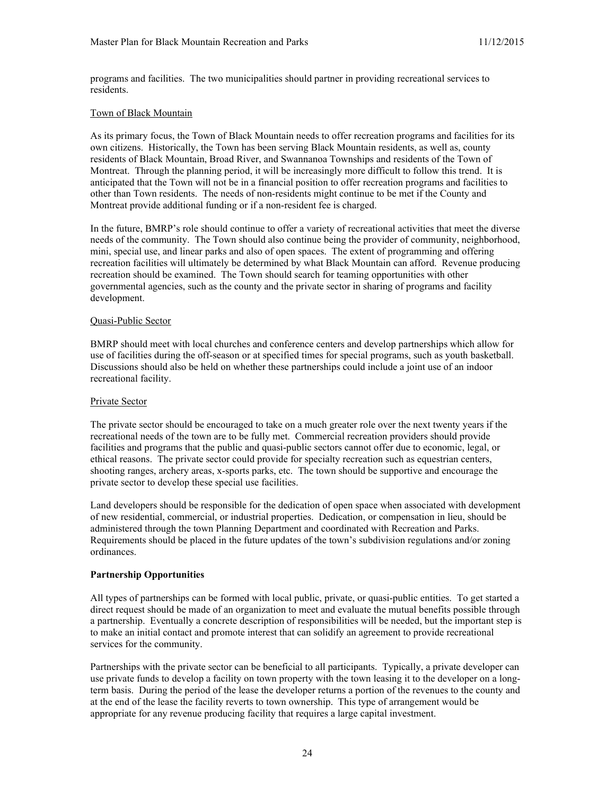programs and facilities. The two municipalities should partner in providing recreational services to residents.

#### Town of Black Mountain

As its primary focus, the Town of Black Mountain needs to offer recreation programs and facilities for its own citizens. Historically, the Town has been serving Black Mountain residents, as well as, county residents of Black Mountain, Broad River, and Swannanoa Townships and residents of the Town of Montreat. Through the planning period, it will be increasingly more difficult to follow this trend. It is anticipated that the Town will not be in a financial position to offer recreation programs and facilities to other than Town residents. The needs of non-residents might continue to be met if the County and Montreat provide additional funding or if a non-resident fee is charged.

In the future, BMRP's role should continue to offer a variety of recreational activities that meet the diverse needs of the community. The Town should also continue being the provider of community, neighborhood, mini, special use, and linear parks and also of open spaces. The extent of programming and offering recreation facilities will ultimately be determined by what Black Mountain can afford. Revenue producing recreation should be examined. The Town should search for teaming opportunities with other governmental agencies, such as the county and the private sector in sharing of programs and facility development.

#### Quasi-Public Sector

BMRP should meet with local churches and conference centers and develop partnerships which allow for use of facilities during the off-season or at specified times for special programs, such as youth basketball. Discussions should also be held on whether these partnerships could include a joint use of an indoor recreational facility.

#### Private Sector

The private sector should be encouraged to take on a much greater role over the next twenty years if the recreational needs of the town are to be fully met. Commercial recreation providers should provide facilities and programs that the public and quasi-public sectors cannot offer due to economic, legal, or ethical reasons. The private sector could provide for specialty recreation such as equestrian centers, shooting ranges, archery areas, x-sports parks, etc. The town should be supportive and encourage the private sector to develop these special use facilities.

Land developers should be responsible for the dedication of open space when associated with development of new residential, commercial, or industrial properties. Dedication, or compensation in lieu, should be administered through the town Planning Department and coordinated with Recreation and Parks. Requirements should be placed in the future updates of the town's subdivision regulations and/or zoning ordinances.

#### **Partnership Opportunities**

All types of partnerships can be formed with local public, private, or quasi-public entities. To get started a direct request should be made of an organization to meet and evaluate the mutual benefits possible through a partnership. Eventually a concrete description of responsibilities will be needed, but the important step is to make an initial contact and promote interest that can solidify an agreement to provide recreational services for the community.

Partnerships with the private sector can be beneficial to all participants. Typically, a private developer can use private funds to develop a facility on town property with the town leasing it to the developer on a longterm basis. During the period of the lease the developer returns a portion of the revenues to the county and at the end of the lease the facility reverts to town ownership. This type of arrangement would be appropriate for any revenue producing facility that requires a large capital investment.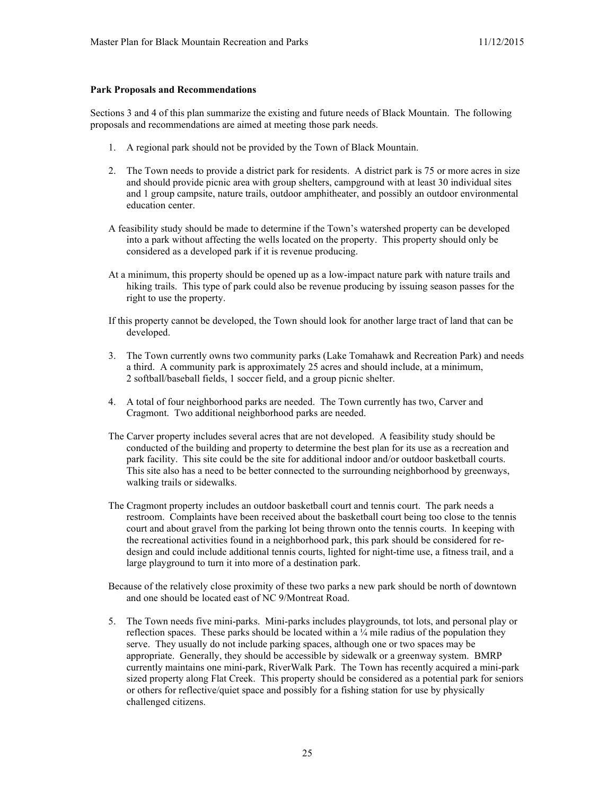#### **Park Proposals and Recommendations**

Sections 3 and 4 of this plan summarize the existing and future needs of Black Mountain. The following proposals and recommendations are aimed at meeting those park needs.

- 1. A regional park should not be provided by the Town of Black Mountain.
- 2. The Town needs to provide a district park for residents. A district park is 75 or more acres in size and should provide picnic area with group shelters, campground with at least 30 individual sites and 1 group campsite, nature trails, outdoor amphitheater, and possibly an outdoor environmental education center.
- A feasibility study should be made to determine if the Town's watershed property can be developed into a park without affecting the wells located on the property. This property should only be considered as a developed park if it is revenue producing.
- At a minimum, this property should be opened up as a low-impact nature park with nature trails and hiking trails. This type of park could also be revenue producing by issuing season passes for the right to use the property.
- If this property cannot be developed, the Town should look for another large tract of land that can be developed.
- 3. The Town currently owns two community parks (Lake Tomahawk and Recreation Park) and needs a third. A community park is approximately 25 acres and should include, at a minimum, 2 softball/baseball fields, 1 soccer field, and a group picnic shelter.
- 4. A total of four neighborhood parks are needed. The Town currently has two, Carver and Cragmont. Two additional neighborhood parks are needed.
- The Carver property includes several acres that are not developed. A feasibility study should be conducted of the building and property to determine the best plan for its use as a recreation and park facility. This site could be the site for additional indoor and/or outdoor basketball courts. This site also has a need to be better connected to the surrounding neighborhood by greenways, walking trails or sidewalks.
- The Cragmont property includes an outdoor basketball court and tennis court. The park needs a restroom. Complaints have been received about the basketball court being too close to the tennis court and about gravel from the parking lot being thrown onto the tennis courts. In keeping with the recreational activities found in a neighborhood park, this park should be considered for redesign and could include additional tennis courts, lighted for night-time use, a fitness trail, and a large playground to turn it into more of a destination park.
- Because of the relatively close proximity of these two parks a new park should be north of downtown and one should be located east of NC 9/Montreat Road.
- 5. The Town needs five mini-parks. Mini-parks includes playgrounds, tot lots, and personal play or reflection spaces. These parks should be located within a  $\frac{1}{4}$  mile radius of the population they serve. They usually do not include parking spaces, although one or two spaces may be appropriate. Generally, they should be accessible by sidewalk or a greenway system. BMRP currently maintains one mini-park, RiverWalk Park. The Town has recently acquired a mini-park sized property along Flat Creek. This property should be considered as a potential park for seniors or others for reflective/quiet space and possibly for a fishing station for use by physically challenged citizens.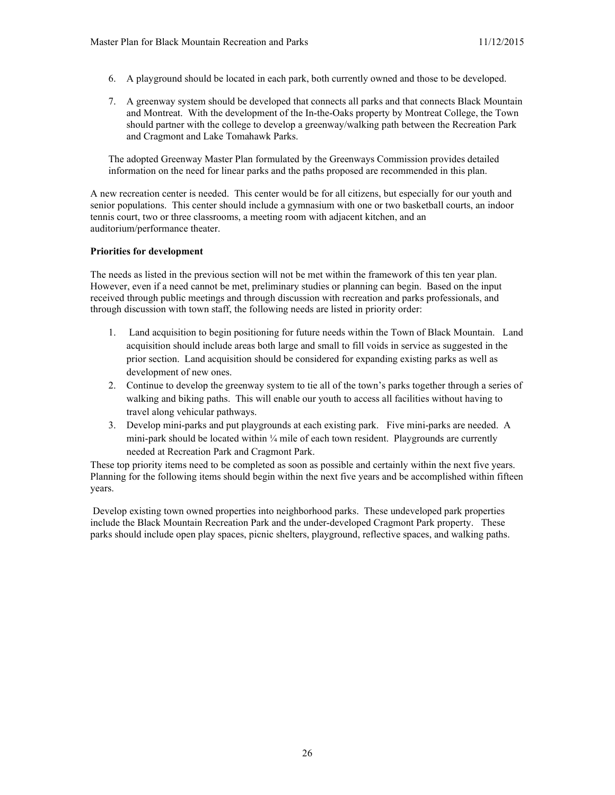- 6. A playground should be located in each park, both currently owned and those to be developed.
- 7. A greenway system should be developed that connects all parks and that connects Black Mountain and Montreat. With the development of the In-the-Oaks property by Montreat College, the Town should partner with the college to develop a greenway/walking path between the Recreation Park and Cragmont and Lake Tomahawk Parks.

The adopted Greenway Master Plan formulated by the Greenways Commission provides detailed information on the need for linear parks and the paths proposed are recommended in this plan.

A new recreation center is needed. This center would be for all citizens, but especially for our youth and senior populations. This center should include a gymnasium with one or two basketball courts, an indoor tennis court, two or three classrooms, a meeting room with adjacent kitchen, and an auditorium/performance theater.

## **Priorities for development**

The needs as listed in the previous section will not be met within the framework of this ten year plan. However, even if a need cannot be met, preliminary studies or planning can begin. Based on the input received through public meetings and through discussion with recreation and parks professionals, and through discussion with town staff, the following needs are listed in priority order:

- 1. Land acquisition to begin positioning for future needs within the Town of Black Mountain. Land acquisition should include areas both large and small to fill voids in service as suggested in the prior section. Land acquisition should be considered for expanding existing parks as well as development of new ones.
- 2. Continue to develop the greenway system to tie all of the town's parks together through a series of walking and biking paths. This will enable our youth to access all facilities without having to travel along vehicular pathways.
- 3. Develop mini-parks and put playgrounds at each existing park. Five mini-parks are needed. A mini-park should be located within  $\frac{1}{4}$  mile of each town resident. Playgrounds are currently needed at Recreation Park and Cragmont Park.

These top priority items need to be completed as soon as possible and certainly within the next five years. Planning for the following items should begin within the next five years and be accomplished within fifteen years.

Develop existing town owned properties into neighborhood parks. These undeveloped park properties include the Black Mountain Recreation Park and the under-developed Cragmont Park property. These parks should include open play spaces, picnic shelters, playground, reflective spaces, and walking paths.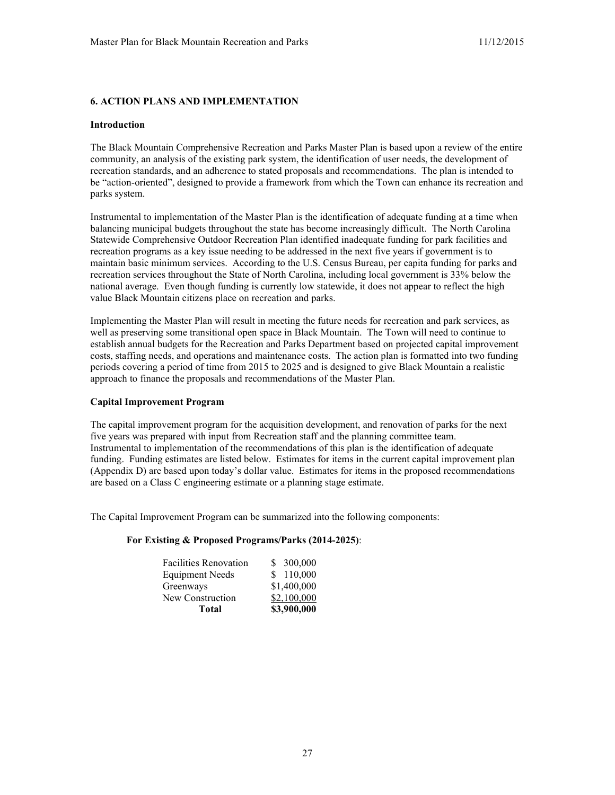## **6. ACTION PLANS AND IMPLEMENTATION**

#### **Introduction**

The Black Mountain Comprehensive Recreation and Parks Master Plan is based upon a review of the entire community, an analysis of the existing park system, the identification of user needs, the development of recreation standards, and an adherence to stated proposals and recommendations. The plan is intended to be "action-oriented", designed to provide a framework from which the Town can enhance its recreation and parks system.

Instrumental to implementation of the Master Plan is the identification of adequate funding at a time when balancing municipal budgets throughout the state has become increasingly difficult. The North Carolina Statewide Comprehensive Outdoor Recreation Plan identified inadequate funding for park facilities and recreation programs as a key issue needing to be addressed in the next five years if government is to maintain basic minimum services. According to the U.S. Census Bureau, per capita funding for parks and recreation services throughout the State of North Carolina, including local government is 33% below the national average. Even though funding is currently low statewide, it does not appear to reflect the high value Black Mountain citizens place on recreation and parks.

Implementing the Master Plan will result in meeting the future needs for recreation and park services, as well as preserving some transitional open space in Black Mountain. The Town will need to continue to establish annual budgets for the Recreation and Parks Department based on projected capital improvement costs, staffing needs, and operations and maintenance costs. The action plan is formatted into two funding periods covering a period of time from 2015 to 2025 and is designed to give Black Mountain a realistic approach to finance the proposals and recommendations of the Master Plan.

#### **Capital Improvement Program**

The capital improvement program for the acquisition development, and renovation of parks for the next five years was prepared with input from Recreation staff and the planning committee team. Instrumental to implementation of the recommendations of this plan is the identification of adequate funding. Funding estimates are listed below. Estimates for items in the current capital improvement plan (Appendix D) are based upon today's dollar value. Estimates for items in the proposed recommendations are based on a Class C engineering estimate or a planning stage estimate.

The Capital Improvement Program can be summarized into the following components:

#### **For Existing & Proposed Programs/Parks (2014-2025)**:

| <b>Total</b>                 | \$3,900,000 |
|------------------------------|-------------|
| New Construction             | \$2,100,000 |
| Greenways                    | \$1,400,000 |
| <b>Equipment Needs</b>       | \$110,000   |
| <b>Facilities Renovation</b> | \$ 300,000  |
|                              |             |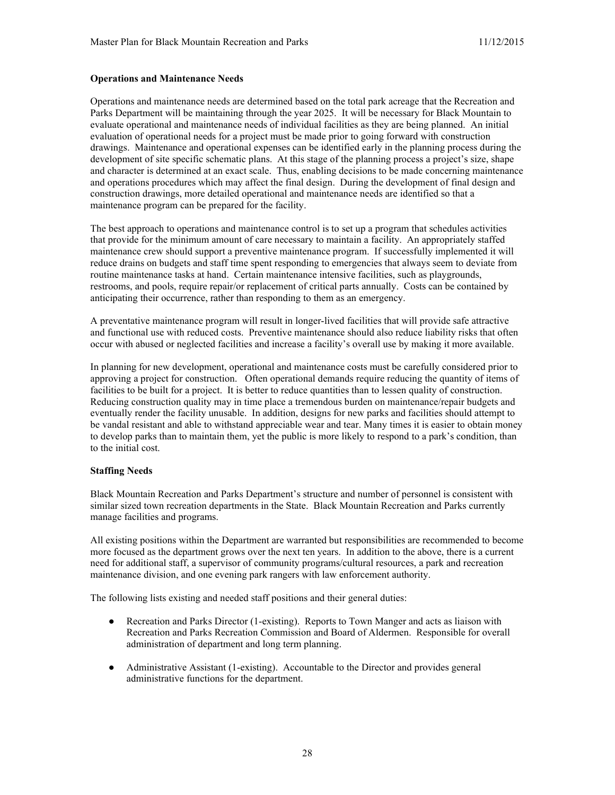### **Operations and Maintenance Needs**

Operations and maintenance needs are determined based on the total park acreage that the Recreation and Parks Department will be maintaining through the year 2025. It will be necessary for Black Mountain to evaluate operational and maintenance needs of individual facilities as they are being planned. An initial evaluation of operational needs for a project must be made prior to going forward with construction drawings. Maintenance and operational expenses can be identified early in the planning process during the development of site specific schematic plans. At this stage of the planning process a project's size, shape and character is determined at an exact scale. Thus, enabling decisions to be made concerning maintenance and operations procedures which may affect the final design. During the development of final design and construction drawings, more detailed operational and maintenance needs are identified so that a maintenance program can be prepared for the facility.

The best approach to operations and maintenance control is to set up a program that schedules activities that provide for the minimum amount of care necessary to maintain a facility. An appropriately staffed maintenance crew should support a preventive maintenance program. If successfully implemented it will reduce drains on budgets and staff time spent responding to emergencies that always seem to deviate from routine maintenance tasks at hand. Certain maintenance intensive facilities, such as playgrounds, restrooms, and pools, require repair/or replacement of critical parts annually. Costs can be contained by anticipating their occurrence, rather than responding to them as an emergency.

A preventative maintenance program will result in longer-lived facilities that will provide safe attractive and functional use with reduced costs. Preventive maintenance should also reduce liability risks that often occur with abused or neglected facilities and increase a facility's overall use by making it more available.

In planning for new development, operational and maintenance costs must be carefully considered prior to approving a project for construction. Often operational demands require reducing the quantity of items of facilities to be built for a project. It is better to reduce quantities than to lessen quality of construction. Reducing construction quality may in time place a tremendous burden on maintenance/repair budgets and eventually render the facility unusable. In addition, designs for new parks and facilities should attempt to be vandal resistant and able to withstand appreciable wear and tear. Many times it is easier to obtain money to develop parks than to maintain them, yet the public is more likely to respond to a park's condition, than to the initial cost.

#### **Staffing Needs**

Black Mountain Recreation and Parks Department's structure and number of personnel is consistent with similar sized town recreation departments in the State. Black Mountain Recreation and Parks currently manage facilities and programs.

All existing positions within the Department are warranted but responsibilities are recommended to become more focused as the department grows over the next ten years. In addition to the above, there is a current need for additional staff, a supervisor of community programs/cultural resources, a park and recreation maintenance division, and one evening park rangers with law enforcement authority.

The following lists existing and needed staff positions and their general duties:

- Recreation and Parks Director (1-existing). Reports to Town Manger and acts as liaison with Recreation and Parks Recreation Commission and Board of Aldermen. Responsible for overall administration of department and long term planning.
- Administrative Assistant (1-existing). Accountable to the Director and provides general administrative functions for the department.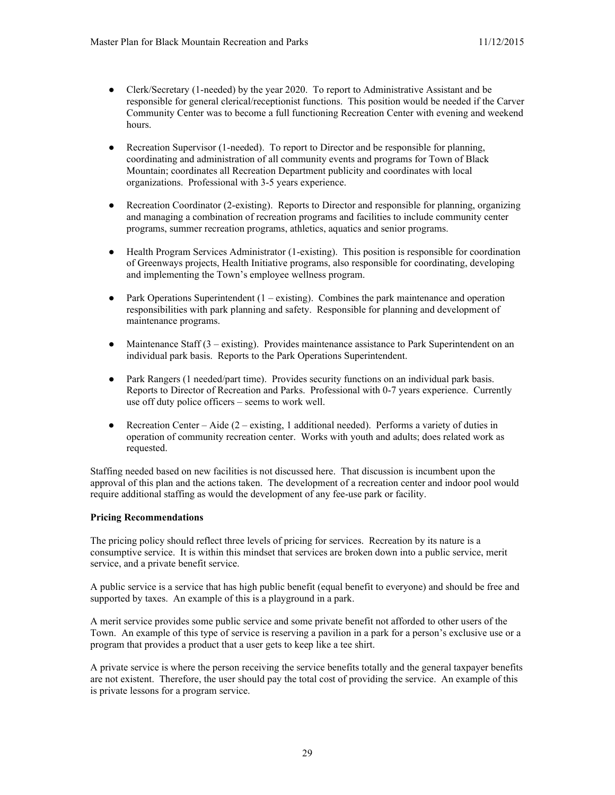- Clerk/Secretary (1-needed) by the year 2020. To report to Administrative Assistant and be responsible for general clerical/receptionist functions. This position would be needed if the Carver Community Center was to become a full functioning Recreation Center with evening and weekend hours.
- Recreation Supervisor (1-needed). To report to Director and be responsible for planning, coordinating and administration of all community events and programs for Town of Black Mountain; coordinates all Recreation Department publicity and coordinates with local organizations. Professional with 3-5 years experience.
- Recreation Coordinator (2-existing). Reports to Director and responsible for planning, organizing and managing a combination of recreation programs and facilities to include community center programs, summer recreation programs, athletics, aquatics and senior programs.
- Health Program Services Administrator (1-existing). This position is responsible for coordination of Greenways projects, Health Initiative programs, also responsible for coordinating, developing and implementing the Town's employee wellness program.
- Park Operations Superintendent  $(1 \text{existing})$ . Combines the park maintenance and operation responsibilities with park planning and safety. Responsible for planning and development of maintenance programs.
- Maintenance Staff  $(3 -$  existing). Provides maintenance assistance to Park Superintendent on an individual park basis. Reports to the Park Operations Superintendent.
- Park Rangers (1 needed/part time). Provides security functions on an individual park basis. Reports to Director of Recreation and Parks. Professional with 0-7 years experience. Currently use off duty police officers – seems to work well.
- Recreation Center Aide ( $2$  existing, 1 additional needed). Performs a variety of duties in operation of community recreation center. Works with youth and adults; does related work as requested.

Staffing needed based on new facilities is not discussed here. That discussion is incumbent upon the approval of this plan and the actions taken. The development of a recreation center and indoor pool would require additional staffing as would the development of any fee-use park or facility.

## **Pricing Recommendations**

The pricing policy should reflect three levels of pricing for services. Recreation by its nature is a consumptive service. It is within this mindset that services are broken down into a public service, merit service, and a private benefit service.

A public service is a service that has high public benefit (equal benefit to everyone) and should be free and supported by taxes. An example of this is a playground in a park.

A merit service provides some public service and some private benefit not afforded to other users of the Town. An example of this type of service is reserving a pavilion in a park for a person's exclusive use or a program that provides a product that a user gets to keep like a tee shirt.

A private service is where the person receiving the service benefits totally and the general taxpayer benefits are not existent. Therefore, the user should pay the total cost of providing the service. An example of this is private lessons for a program service.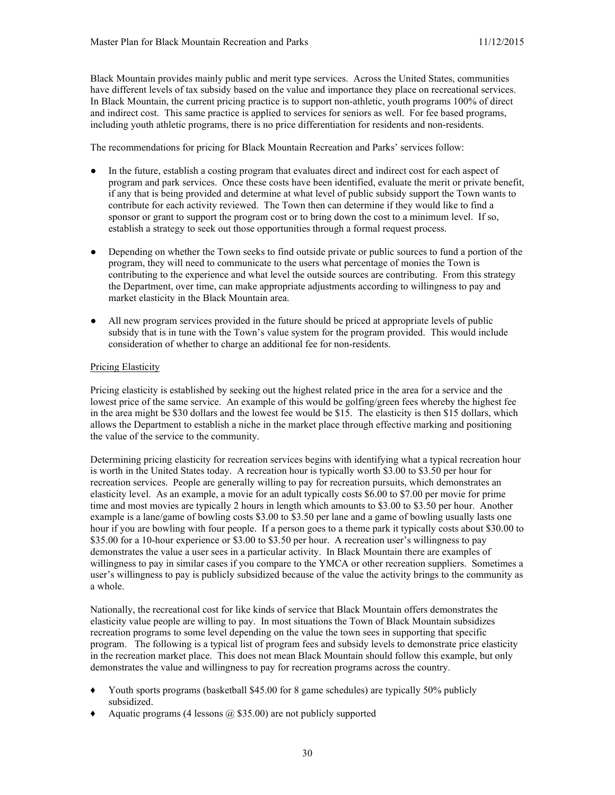Black Mountain provides mainly public and merit type services. Across the United States, communities have different levels of tax subsidy based on the value and importance they place on recreational services. In Black Mountain, the current pricing practice is to support non-athletic, youth programs 100% of direct and indirect cost. This same practice is applied to services for seniors as well. For fee based programs, including youth athletic programs, there is no price differentiation for residents and non-residents.

The recommendations for pricing for Black Mountain Recreation and Parks' services follow:

- In the future, establish a costing program that evaluates direct and indirect cost for each aspect of program and park services. Once these costs have been identified, evaluate the merit or private benefit, if any that is being provided and determine at what level of public subsidy support the Town wants to contribute for each activity reviewed. The Town then can determine if they would like to find a sponsor or grant to support the program cost or to bring down the cost to a minimum level. If so, establish a strategy to seek out those opportunities through a formal request process.
- Depending on whether the Town seeks to find outside private or public sources to fund a portion of the program, they will need to communicate to the users what percentage of monies the Town is contributing to the experience and what level the outside sources are contributing. From this strategy the Department, over time, can make appropriate adjustments according to willingness to pay and market elasticity in the Black Mountain area.
- All new program services provided in the future should be priced at appropriate levels of public subsidy that is in tune with the Town's value system for the program provided. This would include consideration of whether to charge an additional fee for non-residents.

### Pricing Elasticity

Pricing elasticity is established by seeking out the highest related price in the area for a service and the lowest price of the same service. An example of this would be golfing/green fees whereby the highest fee in the area might be \$30 dollars and the lowest fee would be \$15. The elasticity is then \$15 dollars, which allows the Department to establish a niche in the market place through effective marking and positioning the value of the service to the community.

Determining pricing elasticity for recreation services begins with identifying what a typical recreation hour is worth in the United States today. A recreation hour is typically worth \$3.00 to \$3.50 per hour for recreation services. People are generally willing to pay for recreation pursuits, which demonstrates an elasticity level. As an example, a movie for an adult typically costs \$6.00 to \$7.00 per movie for prime time and most movies are typically 2 hours in length which amounts to \$3.00 to \$3.50 per hour. Another example is a lane/game of bowling costs \$3.00 to \$3.50 per lane and a game of bowling usually lasts one hour if you are bowling with four people. If a person goes to a theme park it typically costs about \$30.00 to \$35.00 for a 10-hour experience or \$3.00 to \$3.50 per hour. A recreation user's willingness to pay demonstrates the value a user sees in a particular activity. In Black Mountain there are examples of willingness to pay in similar cases if you compare to the YMCA or other recreation suppliers. Sometimes a user's willingness to pay is publicly subsidized because of the value the activity brings to the community as a whole.

Nationally, the recreational cost for like kinds of service that Black Mountain offers demonstrates the elasticity value people are willing to pay. In most situations the Town of Black Mountain subsidizes recreation programs to some level depending on the value the town sees in supporting that specific program. The following is a typical list of program fees and subsidy levels to demonstrate price elasticity in the recreation market place. This does not mean Black Mountain should follow this example, but only demonstrates the value and willingness to pay for recreation programs across the country.

- Youth sports programs (basketball \$45.00 for 8 game schedules) are typically 50% publicly subsidized.
- Aquatic programs (4 lessons  $(a)$  \$35.00) are not publicly supported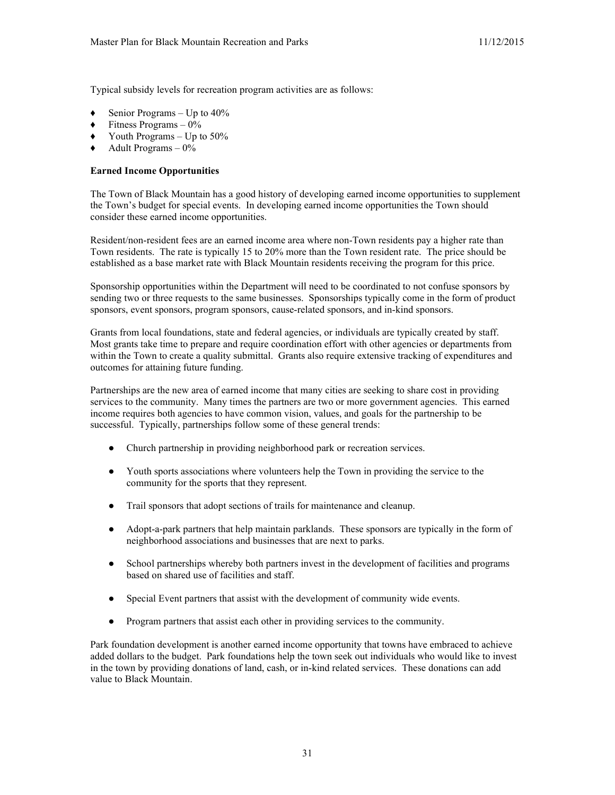Typical subsidy levels for recreation program activities are as follows:

- Senior Programs Up to  $40\%$
- Fitness Programs  $-0\%$
- $\blacklozenge$  Youth Programs Up to 50%
- Adult Programs  $-0\%$

### **Earned Income Opportunities**

The Town of Black Mountain has a good history of developing earned income opportunities to supplement the Town's budget for special events. In developing earned income opportunities the Town should consider these earned income opportunities.

Resident/non-resident fees are an earned income area where non-Town residents pay a higher rate than Town residents. The rate is typically 15 to 20% more than the Town resident rate. The price should be established as a base market rate with Black Mountain residents receiving the program for this price.

Sponsorship opportunities within the Department will need to be coordinated to not confuse sponsors by sending two or three requests to the same businesses. Sponsorships typically come in the form of product sponsors, event sponsors, program sponsors, cause-related sponsors, and in-kind sponsors.

Grants from local foundations, state and federal agencies, or individuals are typically created by staff. Most grants take time to prepare and require coordination effort with other agencies or departments from within the Town to create a quality submittal. Grants also require extensive tracking of expenditures and outcomes for attaining future funding.

Partnerships are the new area of earned income that many cities are seeking to share cost in providing services to the community. Many times the partners are two or more government agencies. This earned income requires both agencies to have common vision, values, and goals for the partnership to be successful. Typically, partnerships follow some of these general trends:

- Church partnership in providing neighborhood park or recreation services.
- Youth sports associations where volunteers help the Town in providing the service to the community for the sports that they represent.
- Trail sponsors that adopt sections of trails for maintenance and cleanup.
- Adopt-a-park partners that help maintain parklands. These sponsors are typically in the form of neighborhood associations and businesses that are next to parks.
- School partnerships whereby both partners invest in the development of facilities and programs based on shared use of facilities and staff.
- Special Event partners that assist with the development of community wide events.
- Program partners that assist each other in providing services to the community.

Park foundation development is another earned income opportunity that towns have embraced to achieve added dollars to the budget. Park foundations help the town seek out individuals who would like to invest in the town by providing donations of land, cash, or in-kind related services. These donations can add value to Black Mountain.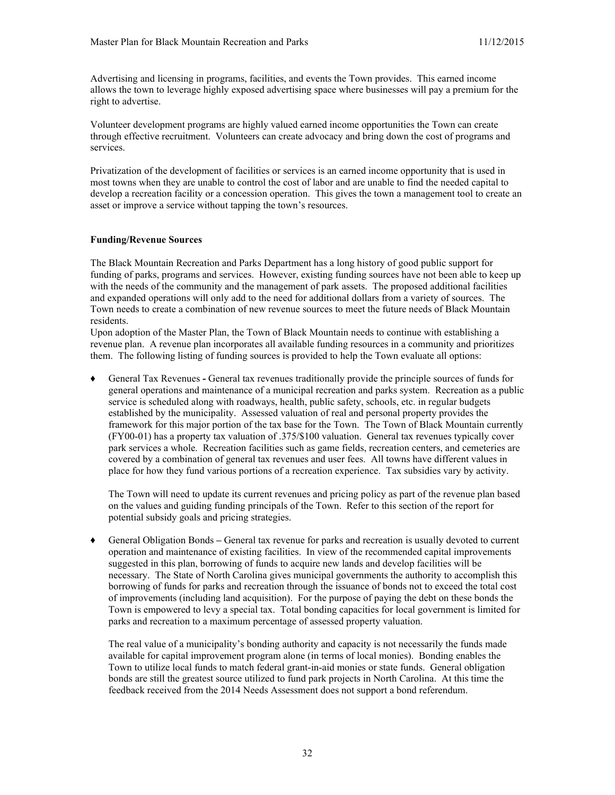Advertising and licensing in programs, facilities, and events the Town provides. This earned income allows the town to leverage highly exposed advertising space where businesses will pay a premium for the right to advertise.

Volunteer development programs are highly valued earned income opportunities the Town can create through effective recruitment. Volunteers can create advocacy and bring down the cost of programs and services.

Privatization of the development of facilities or services is an earned income opportunity that is used in most towns when they are unable to control the cost of labor and are unable to find the needed capital to develop a recreation facility or a concession operation. This gives the town a management tool to create an asset or improve a service without tapping the town's resources.

#### **Funding/Revenue Sources**

The Black Mountain Recreation and Parks Department has a long history of good public support for funding of parks, programs and services. However, existing funding sources have not been able to keep up with the needs of the community and the management of park assets. The proposed additional facilities and expanded operations will only add to the need for additional dollars from a variety of sources. The Town needs to create a combination of new revenue sources to meet the future needs of Black Mountain residents.

Upon adoption of the Master Plan, the Town of Black Mountain needs to continue with establishing a revenue plan. A revenue plan incorporates all available funding resources in a community and prioritizes them. The following listing of funding sources is provided to help the Town evaluate all options:

♦ General Tax Revenues **-** General tax revenues traditionally provide the principle sources of funds for general operations and maintenance of a municipal recreation and parks system. Recreation as a public service is scheduled along with roadways, health, public safety, schools, etc. in regular budgets established by the municipality. Assessed valuation of real and personal property provides the framework for this major portion of the tax base for the Town. The Town of Black Mountain currently (FY00-01) has a property tax valuation of .375/\$100 valuation. General tax revenues typically cover park services a whole. Recreation facilities such as game fields, recreation centers, and cemeteries are covered by a combination of general tax revenues and user fees. All towns have different values in place for how they fund various portions of a recreation experience. Tax subsidies vary by activity.

The Town will need to update its current revenues and pricing policy as part of the revenue plan based on the values and guiding funding principals of the Town. Refer to this section of the report for potential subsidy goals and pricing strategies.

♦ General Obligation Bonds **–** General tax revenue for parks and recreation is usually devoted to current operation and maintenance of existing facilities. In view of the recommended capital improvements suggested in this plan, borrowing of funds to acquire new lands and develop facilities will be necessary. The State of North Carolina gives municipal governments the authority to accomplish this borrowing of funds for parks and recreation through the issuance of bonds not to exceed the total cost of improvements (including land acquisition). For the purpose of paying the debt on these bonds the Town is empowered to levy a special tax. Total bonding capacities for local government is limited for parks and recreation to a maximum percentage of assessed property valuation.

The real value of a municipality's bonding authority and capacity is not necessarily the funds made available for capital improvement program alone (in terms of local monies). Bonding enables the Town to utilize local funds to match federal grant-in-aid monies or state funds. General obligation bonds are still the greatest source utilized to fund park projects in North Carolina. At this time the feedback received from the 2014 Needs Assessment does not support a bond referendum.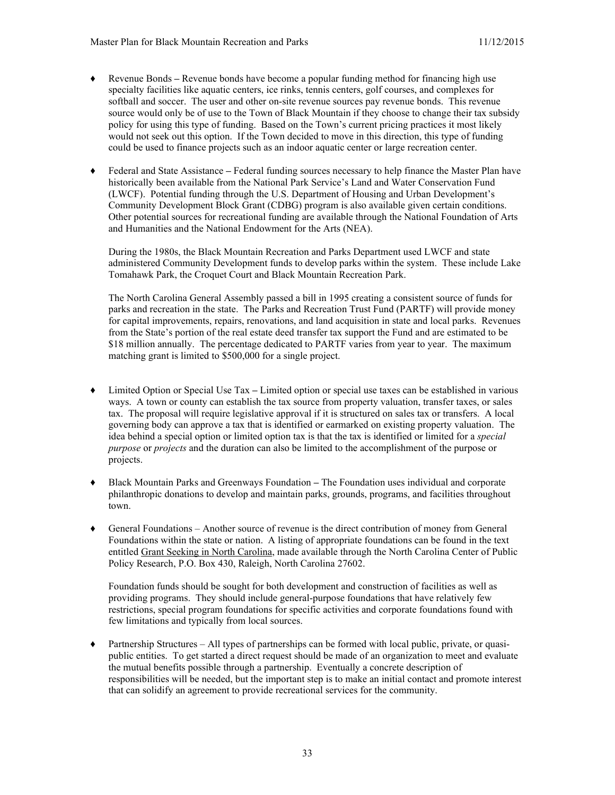- ♦ Revenue Bonds **–** Revenue bonds have become a popular funding method for financing high use specialty facilities like aquatic centers, ice rinks, tennis centers, golf courses, and complexes for softball and soccer. The user and other on-site revenue sources pay revenue bonds. This revenue source would only be of use to the Town of Black Mountain if they choose to change their tax subsidy policy for using this type of funding. Based on the Town's current pricing practices it most likely would not seek out this option. If the Town decided to move in this direction, this type of funding could be used to finance projects such as an indoor aquatic center or large recreation center.
- ♦ Federal and State Assistance **–** Federal funding sources necessary to help finance the Master Plan have historically been available from the National Park Service's Land and Water Conservation Fund (LWCF). Potential funding through the U.S. Department of Housing and Urban Development's Community Development Block Grant (CDBG) program is also available given certain conditions. Other potential sources for recreational funding are available through the National Foundation of Arts and Humanities and the National Endowment for the Arts (NEA).

During the 1980s, the Black Mountain Recreation and Parks Department used LWCF and state administered Community Development funds to develop parks within the system. These include Lake Tomahawk Park, the Croquet Court and Black Mountain Recreation Park.

The North Carolina General Assembly passed a bill in 1995 creating a consistent source of funds for parks and recreation in the state. The Parks and Recreation Trust Fund (PARTF) will provide money for capital improvements, repairs, renovations, and land acquisition in state and local parks. Revenues from the State's portion of the real estate deed transfer tax support the Fund and are estimated to be \$18 million annually. The percentage dedicated to PARTF varies from year to year. The maximum matching grant is limited to \$500,000 for a single project.

- Limited Option or Special Use Tax Limited option or special use taxes can be established in various ways. A town or county can establish the tax source from property valuation, transfer taxes, or sales tax. The proposal will require legislative approval if it is structured on sales tax or transfers. A local governing body can approve a tax that is identified or earmarked on existing property valuation. The idea behind a special option or limited option tax is that the tax is identified or limited for a *special purpose* or *projects* and the duration can also be limited to the accomplishment of the purpose or projects.
- ♦ Black Mountain Parks and Greenways Foundation **–** The Foundation uses individual and corporate philanthropic donations to develop and maintain parks, grounds, programs, and facilities throughout town.
- General Foundations Another source of revenue is the direct contribution of money from General Foundations within the state or nation. A listing of appropriate foundations can be found in the text entitled Grant Seeking in North Carolina, made available through the North Carolina Center of Public Policy Research, P.O. Box 430, Raleigh, North Carolina 27602.

Foundation funds should be sought for both development and construction of facilities as well as providing programs. They should include general-purpose foundations that have relatively few restrictions, special program foundations for specific activities and corporate foundations found with few limitations and typically from local sources.

Partnership Structures – All types of partnerships can be formed with local public, private, or quasipublic entities. To get started a direct request should be made of an organization to meet and evaluate the mutual benefits possible through a partnership. Eventually a concrete description of responsibilities will be needed, but the important step is to make an initial contact and promote interest that can solidify an agreement to provide recreational services for the community.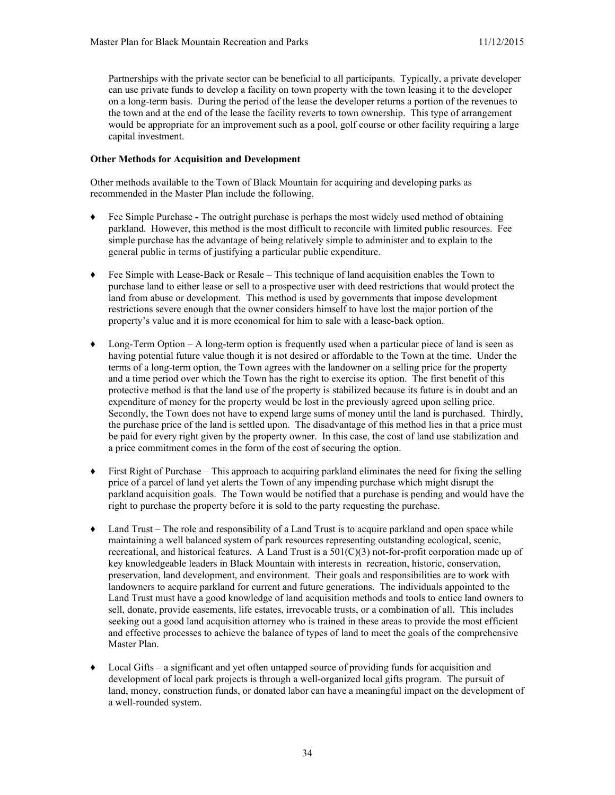Partnerships with the private sector can be beneficial to all participants. Typically, a private developer can use private funds to develop a facility on town property with the town leasing it to the developer on a long-term basis. During the period of the lease the developer returns a portion of the revenues to the town and at the end of the lease the facility reverts to town ownership. This type of arrangement would be appropriate for an improvement such as a pool, golf course or other facility requiring a large capital investment.

#### **Other Methods for Acquisition and Development**

Other methods available to the Town of Black Mountain for acquiring and developing parks as recommended in the Master Plan include the following.

- ♦ Fee Simple Purchase **-** The outright purchase is perhaps the most widely used method of obtaining parkland. However, this method is the most difficult to reconcile with limited public resources. Fee simple purchase has the advantage of being relatively simple to administer and to explain to the general public in terms of justifying a particular public expenditure.
- $\blacklozenge$  Fee Simple with Lease-Back or Resale This technique of land acquisition enables the Town to purchase land to either lease or sell to a prospective user with deed restrictions that would protect the land from abuse or development. This method is used by governments that impose development restrictions severe enough that the owner considers himself to have lost the major portion of the property's value and it is more economical for him to sale with a lease-back option.
- ♦ Long-Term Option A long-term option is frequently used when a particular piece of land is seen as having potential future value though it is not desired or affordable to the Town at the time. Under the terms of a long-term option, the Town agrees with the landowner on a selling price for the property and a time period over which the Town has the right to exercise its option. The first benefit of this protective method is that the land use of the property is stabilized because its future is in doubt and an expenditure of money for the property would be lost in the previously agreed upon selling price. Secondly, the Town does not have to expend large sums of money until the land is purchased. Thirdly, the purchase price of the land is settled upon. The disadvantage of this method lies in that a price must be paid for every right given by the property owner. In this case, the cost of land use stabilization and a price commitment comes in the form of the cost of securing the option.
- First Right of Purchase This approach to acquiring parkland eliminates the need for fixing the selling price of a parcel of land yet alerts the Town of any impending purchase which might disrupt the parkland acquisition goals. The Town would be notified that a purchase is pending and would have the right to purchase the property before it is sold to the party requesting the purchase.
- Land Trust The role and responsibility of a Land Trust is to acquire parkland and open space while maintaining a well balanced system of park resources representing outstanding ecological, scenic, recreational, and historical features. A Land Trust is a 501(C)(3) not-for-profit corporation made up of key knowledgeable leaders in Black Mountain with interests in recreation, historic, conservation, preservation, land development, and environment. Their goals and responsibilities are to work with landowners to acquire parkland for current and future generations. The individuals appointed to the Land Trust must have a good knowledge of land acquisition methods and tools to entice land owners to sell, donate, provide easements, life estates, irrevocable trusts, or a combination of all. This includes seeking out a good land acquisition attorney who is trained in these areas to provide the most efficient and effective processes to achieve the balance of types of land to meet the goals of the comprehensive Master Plan.
- Local Gifts a significant and yet often untapped source of providing funds for acquisition and development of local park projects is through a well-organized local gifts program. The pursuit of land, money, construction funds, or donated labor can have a meaningful impact on the development of a well-rounded system.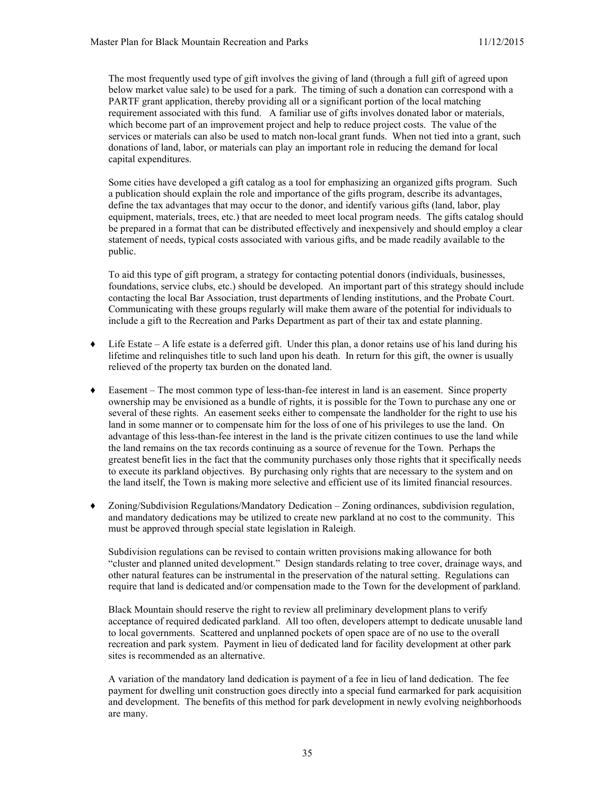The most frequently used type of gift involves the giving of land (through a full gift of agreed upon below market value sale) to be used for a park. The timing of such a donation can correspond with a PARTF grant application, thereby providing all or a significant portion of the local matching requirement associated with this fund. A familiar use of gifts involves donated labor or materials, which become part of an improvement project and help to reduce project costs. The value of the services or materials can also be used to match non-local grant funds. When not tied into a grant, such donations of land, labor, or materials can play an important role in reducing the demand for local capital expenditures.

Some cities have developed a gift catalog as a tool for emphasizing an organized gifts program. Such a publication should explain the role and importance of the gifts program, describe its advantages, define the tax advantages that may occur to the donor, and identify various gifts (land, labor, play equipment, materials, trees, etc.) that are needed to meet local program needs. The gifts catalog should be prepared in a format that can be distributed effectively and inexpensively and should employ a clear statement of needs, typical costs associated with various gifts, and be made readily available to the public.

To aid this type of gift program, a strategy for contacting potential donors (individuals, businesses, foundations, service clubs, etc.) should be developed. An important part of this strategy should include contacting the local Bar Association, trust departments of lending institutions, and the Probate Court. Communicating with these groups regularly will make them aware of the potential for individuals to include a gift to the Recreation and Parks Department as part of their tax and estate planning.

- Life Estate A life estate is a deferred gift. Under this plan, a donor retains use of his land during his lifetime and relinquishes title to such land upon his death. In return for this gift, the owner is usually relieved of the property tax burden on the donated land.
- ♦ Easement The most common type of less-than-fee interest in land is an easement. Since property ownership may be envisioned as a bundle of rights, it is possible for the Town to purchase any one or several of these rights. An easement seeks either to compensate the landholder for the right to use his land in some manner or to compensate him for the loss of one of his privileges to use the land. On advantage of this less-than-fee interest in the land is the private citizen continues to use the land while the land remains on the tax records continuing as a source of revenue for the Town. Perhaps the greatest benefit lies in the fact that the community purchases only those rights that it specifically needs to execute its parkland objectives. By purchasing only rights that are necessary to the system and on the land itself, the Town is making more selective and efficient use of its limited financial resources.
- Zoning/Subdivision Regulations/Mandatory Dedication Zoning ordinances, subdivision regulation, and mandatory dedications may be utilized to create new parkland at no cost to the community. This must be approved through special state legislation in Raleigh.

Subdivision regulations can be revised to contain written provisions making allowance for both "cluster and planned united development." Design standards relating to tree cover, drainage ways, and other natural features can be instrumental in the preservation of the natural setting. Regulations can require that land is dedicated and/or compensation made to the Town for the development of parkland.

Black Mountain should reserve the right to review all preliminary development plans to verify acceptance of required dedicated parkland. All too often, developers attempt to dedicate unusable land to local governments. Scattered and unplanned pockets of open space are of no use to the overall recreation and park system. Payment in lieu of dedicated land for facility development at other park sites is recommended as an alternative.

A variation of the mandatory land dedication is payment of a fee in lieu of land dedication. The fee payment for dwelling unit construction goes directly into a special fund earmarked for park acquisition and development. The benefits of this method for park development in newly evolving neighborhoods are many.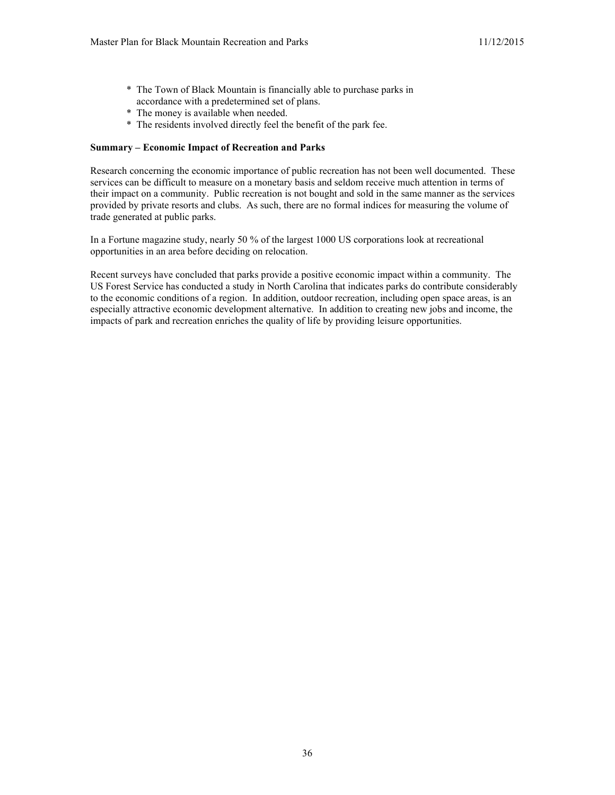- \* The Town of Black Mountain is financially able to purchase parks in accordance with a predetermined set of plans.
- \* The money is available when needed.
- \* The residents involved directly feel the benefit of the park fee.

#### **Summary – Economic Impact of Recreation and Parks**

Research concerning the economic importance of public recreation has not been well documented. These services can be difficult to measure on a monetary basis and seldom receive much attention in terms of their impact on a community. Public recreation is not bought and sold in the same manner as the services provided by private resorts and clubs. As such, there are no formal indices for measuring the volume of trade generated at public parks.

In a Fortune magazine study, nearly 50 % of the largest 1000 US corporations look at recreational opportunities in an area before deciding on relocation.

Recent surveys have concluded that parks provide a positive economic impact within a community. The US Forest Service has conducted a study in North Carolina that indicates parks do contribute considerably to the economic conditions of a region. In addition, outdoor recreation, including open space areas, is an especially attractive economic development alternative. In addition to creating new jobs and income, the impacts of park and recreation enriches the quality of life by providing leisure opportunities.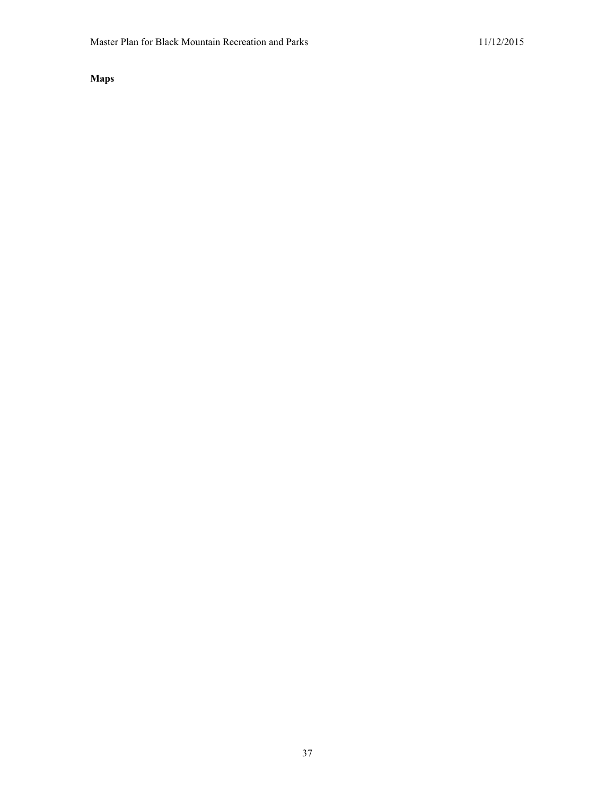**Maps**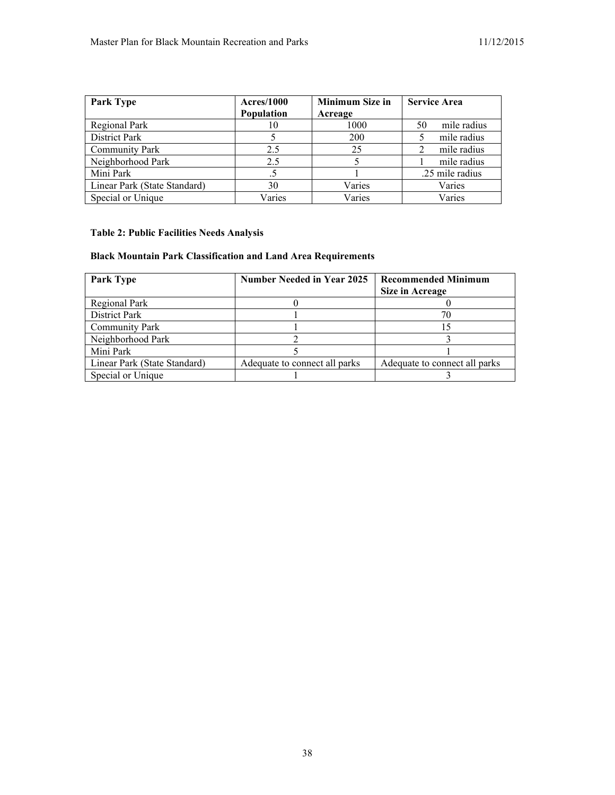| <b>Park Type</b>             | <b>Acres/1000</b> | <b>Minimum Size in</b> | <b>Service Area</b> |
|------------------------------|-------------------|------------------------|---------------------|
|                              | <b>Population</b> | Acreage                |                     |
| Regional Park                | 10                | 1000                   | mile radius<br>50   |
| District Park                |                   | 200                    | mile radius         |
| <b>Community Park</b>        | 2.5               | 25                     | mile radius         |
| Neighborhood Park            | 2.5               |                        | mile radius         |
| Mini Park                    |                   |                        | .25 mile radius     |
| Linear Park (State Standard) | 30                | Varies                 | Varies              |
| Special or Unique            | Varies            | Varies                 | Varies              |

# **Table 2: Public Facilities Needs Analysis**

# **Black Mountain Park Classification and Land Area Requirements**

| <b>Park Type</b>             | <b>Number Needed in Year 2025</b> | <b>Recommended Minimum</b><br><b>Size in Acreage</b> |
|------------------------------|-----------------------------------|------------------------------------------------------|
| Regional Park                |                                   |                                                      |
| District Park                |                                   |                                                      |
| <b>Community Park</b>        |                                   |                                                      |
| Neighborhood Park            |                                   |                                                      |
| Mini Park                    |                                   |                                                      |
| Linear Park (State Standard) | Adequate to connect all parks     | Adequate to connect all parks                        |
| Special or Unique            |                                   |                                                      |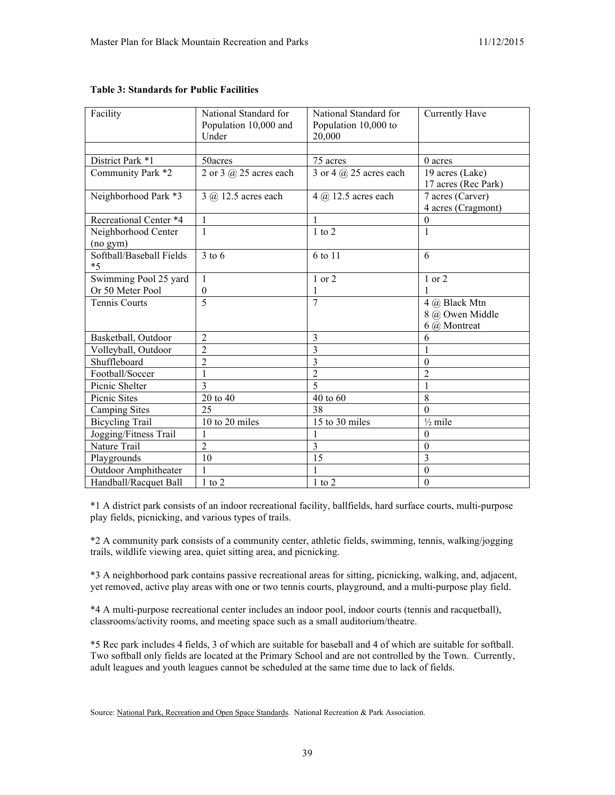| Facility                 | National Standard for    | National Standard for      | Currently Have      |
|--------------------------|--------------------------|----------------------------|---------------------|
|                          | Population 10,000 and    | Population 10,000 to       |                     |
|                          | Under                    | 20,000                     |                     |
|                          |                          |                            |                     |
| District Park *1         | 50acres                  | 75 acres                   | $0$ acres           |
| Community Park *2        | 2 or 3 $@$ 25 acres each | 3 or 4 $(a)$ 25 acres each | 19 acres (Lake)     |
|                          |                          |                            | 17 acres (Rec Park) |
| Neighborhood Park *3     | 3 @ 12.5 acres each      | 4 @ 12.5 acres each        | 7 acres (Carver)    |
|                          |                          |                            | 4 acres (Cragmont)  |
| Recreational Center *4   | $\mathbf{1}$             | 1                          | $\boldsymbol{0}$    |
| Neighborhood Center      | $\mathbf{1}$             | $1$ to $2$                 | 1                   |
| (no gym)                 |                          |                            |                     |
| Softball/Baseball Fields | $3$ to 6                 | 6 to 11                    | 6                   |
| $*5$                     |                          |                            |                     |
| Swimming Pool 25 yard    | $\mathbf{1}$             | 1 or 2                     | 1 or 2              |
| Or 50 Meter Pool         | $\boldsymbol{0}$         | 1                          |                     |
| <b>Tennis Courts</b>     | $\overline{5}$           | $\overline{7}$             | 4 @ Black Mtn       |
|                          |                          |                            | 8 @ Owen Middle     |
|                          |                          |                            | 6 @ Montreat        |
| Basketball, Outdoor      | $\overline{2}$           | 3                          | 6                   |
| Volleyball, Outdoor      | $\overline{2}$           | $\overline{3}$             | 1                   |
| Shuffleboard             | $\overline{c}$           | 3                          | $\theta$            |
| Football/Soccer          | $\mathbf{1}$             | $\overline{c}$             | $\overline{2}$      |
| Picnic Shelter           | $\overline{3}$           | 5                          | $\mathbf{1}$        |
| Picnic Sites             | 20 to 40                 | 40 to 60                   | 8                   |
| <b>Camping Sites</b>     | 25                       | 38                         | $\Omega$            |
| <b>Bicycling Trail</b>   | 10 to 20 miles           | 15 to 30 miles             | $\frac{1}{2}$ mile  |
| Jogging/Fitness Trail    | $\mathbf{1}$             | $\mathbf{1}$               | $\theta$            |
| Nature Trail             | $\overline{2}$           | 3                          | $\boldsymbol{0}$    |
| Playgrounds              | 10                       | 15                         | 3                   |
| Outdoor Amphitheater     |                          |                            | $\mathbf{0}$        |
| Handball/Racquet Ball    | $1$ to $2$               | $1$ to $2$                 | $\theta$            |

## **Table 3: Standards for Public Facilities**

\*1 A district park consists of an indoor recreational facility, ballfields, hard surface courts, multi-purpose play fields, picnicking, and various types of trails.

\*2 A community park consists of a community center, athletic fields, swimming, tennis, walking/jogging trails, wildlife viewing area, quiet sitting area, and picnicking.

\*3 A neighborhood park contains passive recreational areas for sitting, picnicking, walking, and, adjacent, yet removed, active play areas with one or two tennis courts, playground, and a multi-purpose play field.

\*4 A multi-purpose recreational center includes an indoor pool, indoor courts (tennis and racquetball), classrooms/activity rooms, and meeting space such as a small auditorium/theatre.

\*5 Rec park includes 4 fields, 3 of which are suitable for baseball and 4 of which are suitable for softball. Two softball only fields are located at the Primary School and are not controlled by the Town. Currently, adult leagues and youth leagues cannot be scheduled at the same time due to lack of fields.

Source: National Park, Recreation and Open Space Standards. National Recreation & Park Association.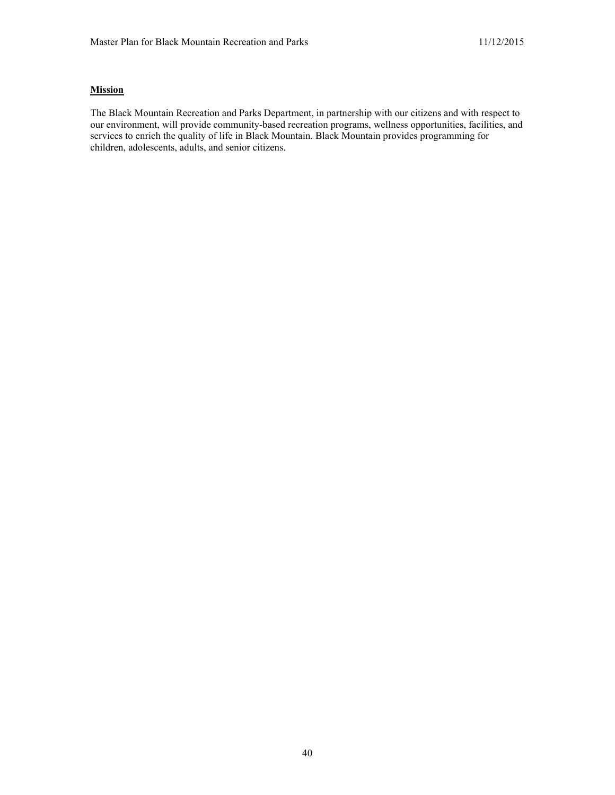## **Mission**

The Black Mountain Recreation and Parks Department, in partnership with our citizens and with respect to our environment, will provide community-based recreation programs, wellness opportunities, facilities, and services to enrich the quality of life in Black Mountain. Black Mountain provides programming for children, adolescents, adults, and senior citizens.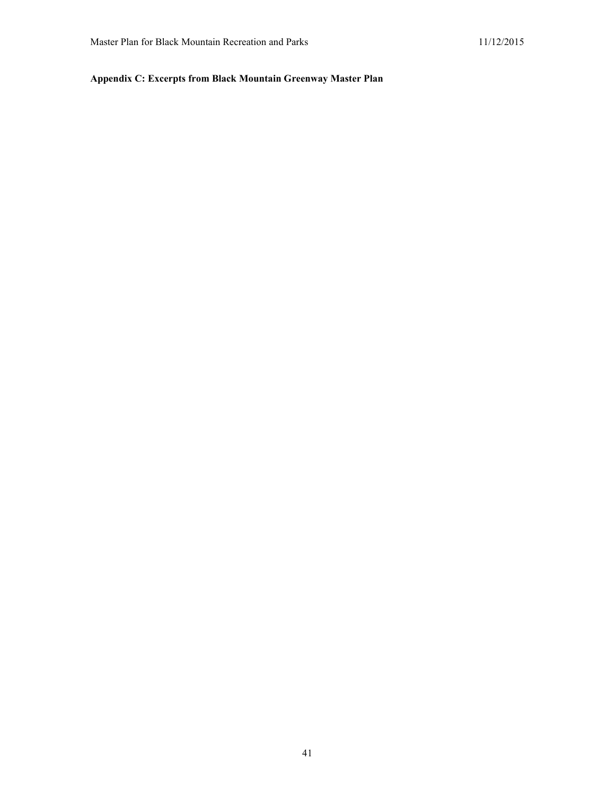# **Appendix C: Excerpts from Black Mountain Greenway Master Plan**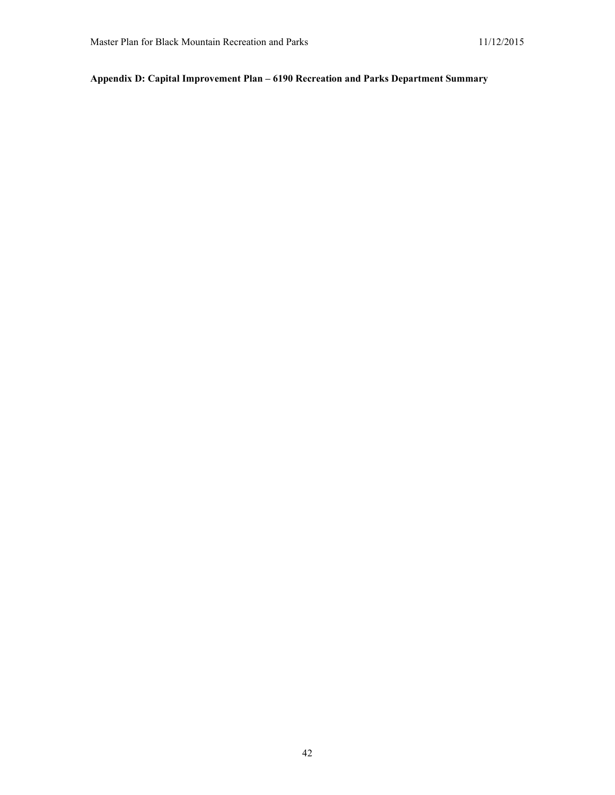# **Appendix D: Capital Improvement Plan – 6190 Recreation and Parks Department Summary**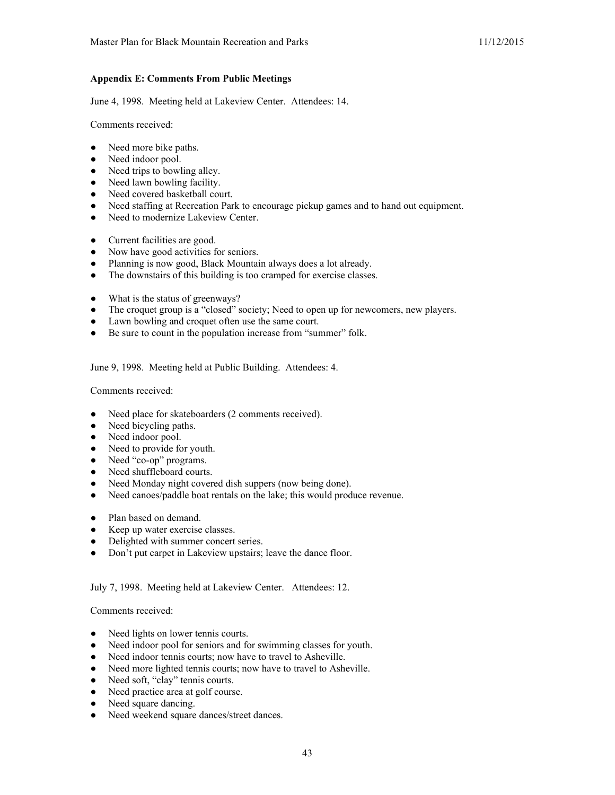## **Appendix E: Comments From Public Meetings**

June 4, 1998. Meeting held at Lakeview Center. Attendees: 14.

Comments received:

- Need more bike paths.
- Need indoor pool.
- Need trips to bowling alley.
- Need lawn bowling facility.
- Need covered basketball court.
- Need staffing at Recreation Park to encourage pickup games and to hand out equipment.
- Need to modernize Lakeview Center.
- Current facilities are good.
- Now have good activities for seniors.
- Planning is now good, Black Mountain always does a lot already.
- The downstairs of this building is too cramped for exercise classes.
- What is the status of greenways?
- The croquet group is a "closed" society; Need to open up for newcomers, new players.
- Lawn bowling and croquet often use the same court.
- Be sure to count in the population increase from "summer" folk.

June 9, 1998. Meeting held at Public Building. Attendees: 4.

Comments received:

- Need place for skateboarders (2 comments received).
- Need bicycling paths.
- Need indoor pool.
- Need to provide for youth.
- Need "co-op" programs.
- Need shuffleboard courts.
- Need Monday night covered dish suppers (now being done).
- Need canoes/paddle boat rentals on the lake; this would produce revenue.
- Plan based on demand.
- Keep up water exercise classes.
- Delighted with summer concert series.
- Don't put carpet in Lakeview upstairs; leave the dance floor.

#### July 7, 1998. Meeting held at Lakeview Center. Attendees: 12.

Comments received:

- Need lights on lower tennis courts.
- Need indoor pool for seniors and for swimming classes for youth.
- Need indoor tennis courts; now have to travel to Asheville.
- Need more lighted tennis courts; now have to travel to Asheville.
- Need soft, "clay" tennis courts.
- Need practice area at golf course.
- Need square dancing.
- Need weekend square dances/street dances.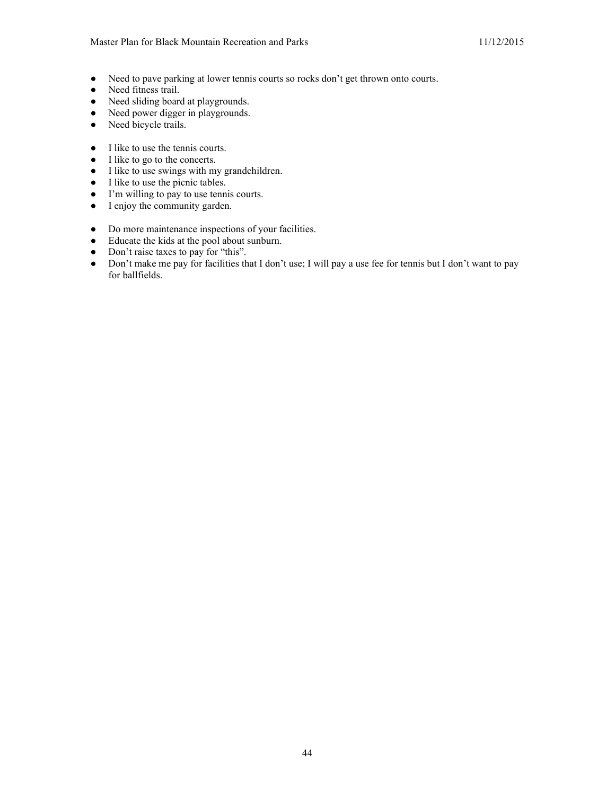- Need to pave parking at lower tennis courts so rocks don't get thrown onto courts.
- Need fitness trail.
- Need sliding board at playgrounds.
- Need power digger in playgrounds.
- Need bicycle trails.
- I like to use the tennis courts.
- I like to go to the concerts.
- I like to use swings with my grandchildren.
- I like to use the picnic tables.
- I'm willing to pay to use tennis courts.
- I enjoy the community garden.
- Do more maintenance inspections of your facilities.
- Educate the kids at the pool about sunburn.
- Don't raise taxes to pay for "this".
- Don't make me pay for facilities that I don't use; I will pay a use fee for tennis but I don't want to pay for ballfields.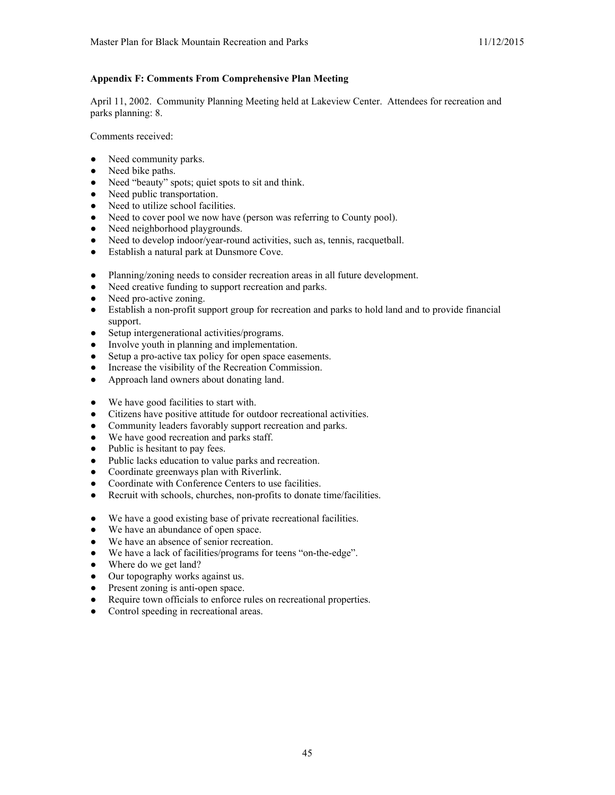## **Appendix F: Comments From Comprehensive Plan Meeting**

April 11, 2002. Community Planning Meeting held at Lakeview Center. Attendees for recreation and parks planning: 8.

Comments received:

- Need community parks.
- Need bike paths.
- Need "beauty" spots; quiet spots to sit and think.
- Need public transportation.
- Need to utilize school facilities.
- Need to cover pool we now have (person was referring to County pool).
- Need neighborhood playgrounds.
- Need to develop indoor/year-round activities, such as, tennis, racquetball.
- Establish a natural park at Dunsmore Cove.
- Planning/zoning needs to consider recreation areas in all future development.
- Need creative funding to support recreation and parks.
- Need pro-active zoning.
- Establish a non-profit support group for recreation and parks to hold land and to provide financial support.
- Setup intergenerational activities/programs.
- Involve youth in planning and implementation.
- Setup a pro-active tax policy for open space easements.
- Increase the visibility of the Recreation Commission.
- Approach land owners about donating land.
- We have good facilities to start with.
- Citizens have positive attitude for outdoor recreational activities.
- Community leaders favorably support recreation and parks.
- We have good recreation and parks staff.
- Public is hesitant to pay fees.
- Public lacks education to value parks and recreation.
- Coordinate greenways plan with Riverlink.
- Coordinate with Conference Centers to use facilities.
- Recruit with schools, churches, non-profits to donate time/facilities.
- We have a good existing base of private recreational facilities.
- We have an abundance of open space.
- We have an absence of senior recreation.
- We have a lack of facilities/programs for teens "on-the-edge".
- Where do we get land?
- Our topography works against us.
- Present zoning is anti-open space.
- Require town officials to enforce rules on recreational properties.
- Control speeding in recreational areas.